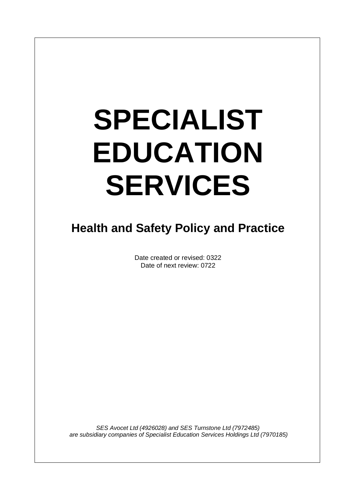# **SPECIALIST EDUCATION SERVICES**

### **Health and Safety Policy and Practice**

Date created or revised: 0322 Date of next review: 0722

*SES Avocet Ltd (4926028) and SES Turnstone Ltd (7972485) are subsidiary companies of Specialist Education Services Holdings Ltd (7970185)*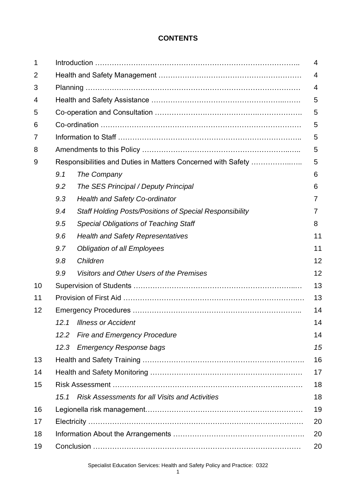#### **CONTENTS**

| 1  | 4    |                                                                |          |
|----|------|----------------------------------------------------------------|----------|
| 2  |      |                                                                |          |
| 3  |      |                                                                |          |
| 4  |      |                                                                | 5        |
| 5  |      |                                                                | 5        |
| 6  |      |                                                                | 5        |
| 7  |      |                                                                | 5        |
| 8  |      |                                                                | 5        |
| 9  |      | Responsibilities and Duties in Matters Concerned with Safety   | 5        |
|    | 9.1  | The Company                                                    | 6        |
|    | 9.2  | The SES Principal / Deputy Principal                           | 6        |
|    | 9.3  | <b>Health and Safety Co-ordinator</b>                          |          |
|    | 9.4  | <b>Staff Holding Posts/Positions of Special Responsibility</b> | $\prime$ |
|    | 9.5  | <b>Special Obligations of Teaching Staff</b>                   | 8        |
|    | 9.6  | <b>Health and Safety Representatives</b>                       | 11       |
|    | 9.7  | <b>Obligation of all Employees</b>                             | 11       |
|    | 9.8  | Children                                                       | 12       |
|    | 9.9  | Visitors and Other Users of the Premises                       | 12       |
| 10 |      |                                                                | 13       |
| 11 |      |                                                                | 13       |
| 12 |      |                                                                |          |
|    |      | 12.1 Illness or Accident                                       | 14       |
|    | 12.2 | <b>Fire and Emergency Procedure</b>                            | 14       |
|    | 12.3 | <b>Emergency Response bags</b>                                 | 15       |
| 13 |      |                                                                | 16       |
| 14 |      |                                                                | 17       |
| 15 |      |                                                                | 18       |
|    | 15.1 | <b>Risk Assessments for all Visits and Activities</b>          | 18       |
| 16 |      |                                                                | 19       |
| 17 |      |                                                                | 20       |
| 18 | 20   |                                                                |          |
| 19 |      |                                                                | 20       |

Specialist Education Services: Health and Safety Policy and Practice: 0322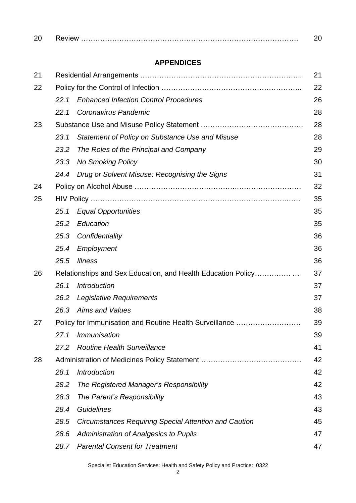| nn<br>zu |  |
|----------|--|
|          |  |

#### **APPENDICES**

| 21 |                                                              | 21                                                           |    |  |
|----|--------------------------------------------------------------|--------------------------------------------------------------|----|--|
| 22 |                                                              |                                                              | 22 |  |
|    | 22.1                                                         | <b>Enhanced Infection Control Procedures</b>                 | 26 |  |
|    | 22.1                                                         | Coronavirus Pandemic                                         | 28 |  |
| 23 |                                                              |                                                              | 28 |  |
|    | 23.1                                                         | Statement of Policy on Substance Use and Misuse              | 28 |  |
|    | 23.2                                                         | The Roles of the Principal and Company                       | 29 |  |
|    | 23.3                                                         | <b>No Smoking Policy</b>                                     | 30 |  |
|    | 24.4                                                         | Drug or Solvent Misuse: Recognising the Signs                | 31 |  |
| 24 |                                                              |                                                              | 32 |  |
| 25 |                                                              |                                                              |    |  |
|    | 25.1                                                         | <b>Equal Opportunities</b>                                   | 35 |  |
|    | 25.2                                                         | Education                                                    | 35 |  |
|    | 25.3                                                         | Confidentiality                                              | 36 |  |
|    | 25.4                                                         | Employment                                                   | 36 |  |
|    | 25.5                                                         | <b>Illness</b>                                               | 36 |  |
| 26 | Relationships and Sex Education, and Health Education Policy |                                                              |    |  |
|    | 26.1                                                         | <b>Introduction</b>                                          | 37 |  |
|    | 26.2                                                         | Legislative Requirements                                     | 37 |  |
|    | 26.3                                                         | <b>Aims and Values</b>                                       | 38 |  |
| 27 |                                                              | Policy for Immunisation and Routine Health Surveillance      | 39 |  |
|    | 27.1                                                         | Immunisation                                                 | 39 |  |
|    | 27.2                                                         | <b>Routine Health Surveillance</b>                           | 41 |  |
| 28 |                                                              |                                                              | 42 |  |
|    | 28.1                                                         | <b>Introduction</b>                                          | 42 |  |
|    | 28.2                                                         | The Registered Manager's Responsibility                      | 42 |  |
|    | 28.3                                                         | The Parent's Responsibility                                  | 43 |  |
|    | 28.4                                                         | <b>Guidelines</b>                                            | 43 |  |
|    | 28.5                                                         | <b>Circumstances Requiring Special Attention and Caution</b> | 45 |  |
|    | 28.6                                                         | Administration of Analgesics to Pupils                       | 47 |  |
|    | 28.7                                                         | <b>Parental Consent for Treatment</b>                        | 47 |  |

Specialist Education Services: Health and Safety Policy and Practice: 0322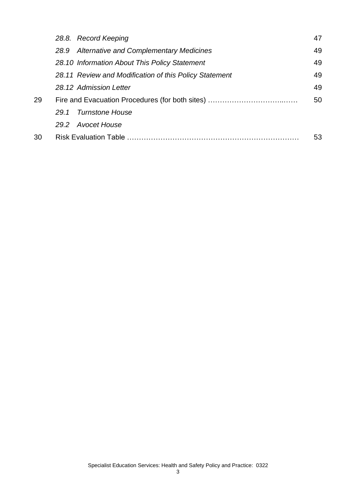|    | 28.8. Record Keeping                                   | 47 |
|----|--------------------------------------------------------|----|
|    | 28.9 Alternative and Complementary Medicines           | 49 |
|    | 28.10 Information About This Policy Statement          | 49 |
|    | 28.11 Review and Modification of this Policy Statement | 49 |
|    | 28.12 Admission Letter                                 | 49 |
| 29 |                                                        | 50 |
|    | 29.1 Turnstone House                                   |    |
|    | 29.2 Avocet House                                      |    |
| 30 |                                                        | 53 |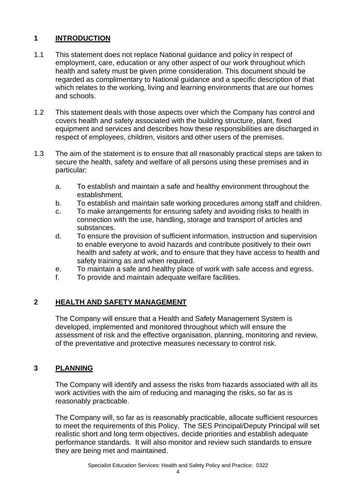#### **1 INTRODUCTION**

- 1.1 This statement does not replace National guidance and policy in respect of employment, care, education or any other aspect of our work throughout which health and safety must be given prime consideration. This document should be regarded as complimentary to National guidance and a specific description of that which relates to the working, living and learning environments that are our homes and schools.
- 1.2 This statement deals with those aspects over which the Company has control and covers health and safety associated with the building structure, plant, fixed equipment and services and describes how these responsibilities are discharged in respect of employees, children, visitors and other users of the premises.
- 1.3 The aim of the statement is to ensure that all reasonably practical steps are taken to secure the health, safety and welfare of all persons using these premises and in particular:
	- a. To establish and maintain a safe and healthy environment throughout the establishment.
	- b. To establish and maintain safe working procedures among staff and children.
	- c. To make arrangements for ensuring safety and avoiding risks to health in connection with the use, handling, storage and transport of articles and substances.
	- d. To ensure the provision of sufficient information, instruction and supervision to enable everyone to avoid hazards and contribute positively to their own health and safety at work, and to ensure that they have access to health and safety training as and when required.
	- e. To maintain a safe and healthy place of work with safe access and egress.
	- f. To provide and maintain adequate welfare facilities.

#### **2 HEALTH AND SAFETY MANAGEMENT**

The Company will ensure that a Health and Safety Management System is developed, implemented and monitored throughout which will ensure the assessment of risk and the effective organisation, planning, monitoring and review, of the preventative and protective measures necessary to control risk.

#### **3 PLANNING**

The Company will identify and assess the risks from hazards associated with all its work activities with the aim of reducing and managing the risks, so far as is reasonably practicable.

The Company will, so far as is reasonably practicable, allocate sufficient resources to meet the requirements of this Policy. The SES Principal/Deputy Principal will set realistic short and long term objectives, decide priorities and establish adequate performance standards. It will also monitor and review such standards to ensure they are being met and maintained.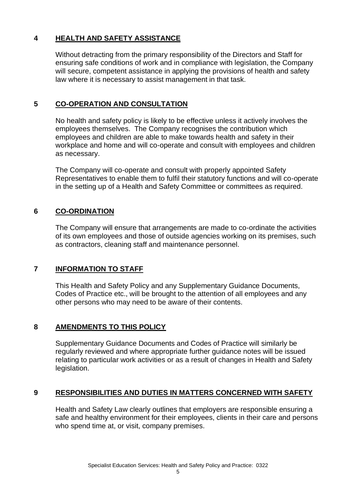#### **4 HEALTH AND SAFETY ASSISTANCE**

Without detracting from the primary responsibility of the Directors and Staff for ensuring safe conditions of work and in compliance with legislation, the Company will secure, competent assistance in applying the provisions of health and safety law where it is necessary to assist management in that task.

#### **5 CO-OPERATION AND CONSULTATION**

No health and safety policy is likely to be effective unless it actively involves the employees themselves. The Company recognises the contribution which employees and children are able to make towards health and safety in their workplace and home and will co-operate and consult with employees and children as necessary.

The Company will co-operate and consult with properly appointed Safety Representatives to enable them to fulfil their statutory functions and will co-operate in the setting up of a Health and Safety Committee or committees as required.

#### **6 CO-ORDINATION**

The Company will ensure that arrangements are made to co-ordinate the activities of its own employees and those of outside agencies working on its premises, such as contractors, cleaning staff and maintenance personnel.

#### **7 INFORMATION TO STAFF**

This Health and Safety Policy and any Supplementary Guidance Documents, Codes of Practice etc., will be brought to the attention of all employees and any other persons who may need to be aware of their contents.

#### **8 AMENDMENTS TO THIS POLICY**

Supplementary Guidance Documents and Codes of Practice will similarly be regularly reviewed and where appropriate further guidance notes will be issued relating to particular work activities or as a result of changes in Health and Safety legislation.

#### **9 RESPONSIBILITIES AND DUTIES IN MATTERS CONCERNED WITH SAFETY**

Health and Safety Law clearly outlines that employers are responsible ensuring a safe and healthy environment for their employees, clients in their care and persons who spend time at, or visit, company premises.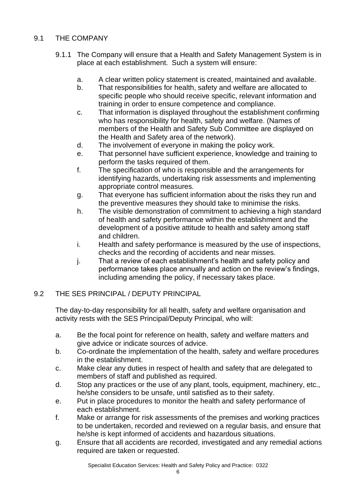#### 9.1 THE COMPANY

- 9.1.1 The Company will ensure that a Health and Safety Management System is in place at each establishment. Such a system will ensure:
	- a. A clear written policy statement is created, maintained and available.
	- b. That responsibilities for health, safety and welfare are allocated to specific people who should receive specific, relevant information and training in order to ensure competence and compliance.
	- c. That information is displayed throughout the establishment confirming who has responsibility for health, safety and welfare. (Names of members of the Health and Safety Sub Committee are displayed on the Health and Safety area of the network).
	- d. The involvement of everyone in making the policy work.
	- e. That personnel have sufficient experience, knowledge and training to perform the tasks required of them.
	- f. The specification of who is responsible and the arrangements for identifying hazards, undertaking risk assessments and implementing appropriate control measures.
	- g. That everyone has sufficient information about the risks they run and the preventive measures they should take to minimise the risks.
	- h. The visible demonstration of commitment to achieving a high standard of health and safety performance within the establishment and the development of a positive attitude to health and safety among staff and children.
	- i. Health and safety performance is measured by the use of inspections, checks and the recording of accidents and near misses.
	- j. That a review of each establishment's health and safety policy and performance takes place annually and action on the review's findings, including amending the policy, if necessary takes place.

#### 9.2 THE SES PRINCIPAL / DEPUTY PRINCIPAL

The day-to-day responsibility for all health, safety and welfare organisation and activity rests with the SES Principal/Deputy Principal, who will:

- a. Be the focal point for reference on health, safety and welfare matters and give advice or indicate sources of advice.
- b. Co-ordinate the implementation of the health, safety and welfare procedures in the establishment.
- c. Make clear any duties in respect of health and safety that are delegated to members of staff and published as required.
- d. Stop any practices or the use of any plant, tools, equipment, machinery, etc., he/she considers to be unsafe, until satisfied as to their safety.
- e. Put in place procedures to monitor the health and safety performance of each establishment.
- f. Make or arrange for risk assessments of the premises and working practices to be undertaken, recorded and reviewed on a regular basis, and ensure that he/she is kept informed of accidents and hazardous situations.
- g. Ensure that all accidents are recorded, investigated and any remedial actions required are taken or requested.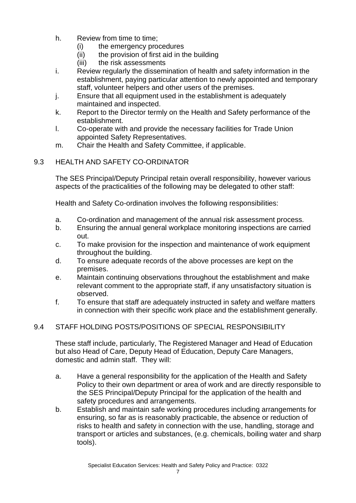- h. Review from time to time;
	- (i) the emergency procedures
	- (ii) the provision of first aid in the building
	- (iii) the risk assessments
- i. Review regularly the dissemination of health and safety information in the establishment, paying particular attention to newly appointed and temporary staff, volunteer helpers and other users of the premises.
- j. Ensure that all equipment used in the establishment is adequately maintained and inspected.
- k. Report to the Director termly on the Health and Safety performance of the establishment.
- l. Co-operate with and provide the necessary facilities for Trade Union appointed Safety Representatives.
- m. Chair the Health and Safety Committee, if applicable.

#### 9.3 HEALTH AND SAFETY CO-ORDINATOR

The SES Principal/Deputy Principal retain overall responsibility, however various aspects of the practicalities of the following may be delegated to other staff:

Health and Safety Co-ordination involves the following responsibilities:

- a. Co-ordination and management of the annual risk assessment process.
- b. Ensuring the annual general workplace monitoring inspections are carried out.
- c. To make provision for the inspection and maintenance of work equipment throughout the building.
- d. To ensure adequate records of the above processes are kept on the premises.
- e. Maintain continuing observations throughout the establishment and make relevant comment to the appropriate staff, if any unsatisfactory situation is observed.
- f. To ensure that staff are adequately instructed in safety and welfare matters in connection with their specific work place and the establishment generally.

#### 9.4 STAFF HOLDING POSTS/POSITIONS OF SPECIAL RESPONSIBILITY

These staff include, particularly, The Registered Manager and Head of Education but also Head of Care, Deputy Head of Education, Deputy Care Managers, domestic and admin staff. They will:

- a. Have a general responsibility for the application of the Health and Safety Policy to their own department or area of work and are directly responsible to the SES Principal/Deputy Principal for the application of the health and safety procedures and arrangements.
- b. Establish and maintain safe working procedures including arrangements for ensuring, so far as is reasonably practicable, the absence or reduction of risks to health and safety in connection with the use, handling, storage and transport or articles and substances, (e.g. chemicals, boiling water and sharp tools).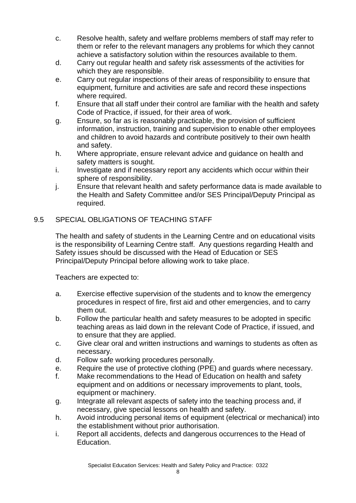- c. Resolve health, safety and welfare problems members of staff may refer to them or refer to the relevant managers any problems for which they cannot achieve a satisfactory solution within the resources available to them.
- d. Carry out regular health and safety risk assessments of the activities for which they are responsible.
- e. Carry out regular inspections of their areas of responsibility to ensure that equipment, furniture and activities are safe and record these inspections where required.
- f. Ensure that all staff under their control are familiar with the health and safety Code of Practice, if issued, for their area of work.
- g. Ensure, so far as is reasonably practicable, the provision of sufficient information, instruction, training and supervision to enable other employees and children to avoid hazards and contribute positively to their own health and safety.
- h. Where appropriate, ensure relevant advice and guidance on health and safety matters is sought.
- i. Investigate and if necessary report any accidents which occur within their sphere of responsibility.
- j. Ensure that relevant health and safety performance data is made available to the Health and Safety Committee and/or SES Principal/Deputy Principal as required.

#### 9.5 SPECIAL OBLIGATIONS OF TEACHING STAFF

The health and safety of students in the Learning Centre and on educational visits is the responsibility of Learning Centre staff. Any questions regarding Health and Safety issues should be discussed with the Head of Education or SES Principal/Deputy Principal before allowing work to take place.

Teachers are expected to:

- a. Exercise effective supervision of the students and to know the emergency procedures in respect of fire, first aid and other emergencies, and to carry them out.
- b. Follow the particular health and safety measures to be adopted in specific teaching areas as laid down in the relevant Code of Practice, if issued, and to ensure that they are applied.
- c. Give clear oral and written instructions and warnings to students as often as necessary.
- d. Follow safe working procedures personally.
- e. Require the use of protective clothing (PPE) and guards where necessary.
- f. Make recommendations to the Head of Education on health and safety equipment and on additions or necessary improvements to plant, tools, equipment or machinery.
- g. Integrate all relevant aspects of safety into the teaching process and, if necessary, give special lessons on health and safety.
- h. Avoid introducing personal items of equipment (electrical or mechanical) into the establishment without prior authorisation.
- i. Report all accidents, defects and dangerous occurrences to the Head of Education.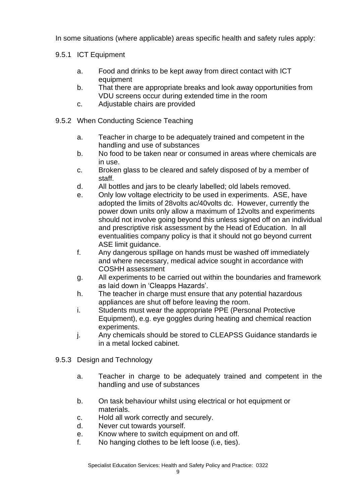In some situations (where applicable) areas specific health and safety rules apply:

#### 9.5.1 ICT Equipment

- a. Food and drinks to be kept away from direct contact with ICT equipment
- b. That there are appropriate breaks and look away opportunities from VDU screens occur during extended time in the room
- c. Adjustable chairs are provided
- 9.5.2 When Conducting Science Teaching
	- a. Teacher in charge to be adequately trained and competent in the handling and use of substances
	- b. No food to be taken near or consumed in areas where chemicals are in use.
	- c. Broken glass to be cleared and safely disposed of by a member of staff.
	- d. All bottles and jars to be clearly labelled; old labels removed.
	- e. Only low voltage electricity to be used in experiments. ASE, have adopted the limits of 28volts ac/40volts dc. However, currently the power down units only allow a maximum of 12volts and experiments should not involve going beyond this unless signed off on an individual and prescriptive risk assessment by the Head of Education. In all eventualities company policy is that it should not go beyond current ASE limit guidance.
	- f. Any dangerous spillage on hands must be washed off immediately and where necessary, medical advice sought in accordance with COSHH assessment
	- g. All experiments to be carried out within the boundaries and framework as laid down in 'Cleapps Hazards'.
	- h. The teacher in charge must ensure that any potential hazardous appliances are shut off before leaving the room.
	- i. Students must wear the appropriate PPE (Personal Protective Equipment), e.g. eye goggles during heating and chemical reaction experiments.
	- j. Any chemicals should be stored to CLEAPSS Guidance standards ie in a metal locked cabinet.
- 9.5.3 Design and Technology
	- a. Teacher in charge to be adequately trained and competent in the handling and use of substances
	- b. On task behaviour whilst using electrical or hot equipment or materials.
	- c. Hold all work correctly and securely.
	- d. Never cut towards yourself.
	- e. Know where to switch equipment on and off.
	- f. No hanging clothes to be left loose (i.e, ties).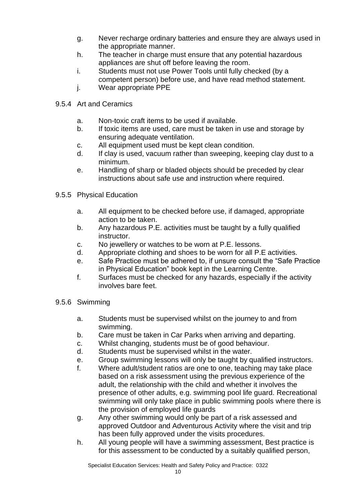- g. Never recharge ordinary batteries and ensure they are always used in the appropriate manner.
- h. The teacher in charge must ensure that any potential hazardous appliances are shut off before leaving the room.
- i. Students must not use Power Tools until fully checked (by a competent person) before use, and have read method statement.
- j. Wear appropriate PPE
- 9.5.4 Art and Ceramics
	- a. Non-toxic craft items to be used if available.
	- b. If toxic items are used, care must be taken in use and storage by ensuring adequate ventilation.
	- c. All equipment used must be kept clean condition.
	- d. If clay is used, vacuum rather than sweeping, keeping clay dust to a minimum.
	- e. Handling of sharp or bladed objects should be preceded by clear instructions about safe use and instruction where required.
- 9.5.5 Physical Education
	- a. All equipment to be checked before use, if damaged, appropriate action to be taken.
	- b. Any hazardous P.E. activities must be taught by a fully qualified instructor.
	- c. No jewellery or watches to be worn at P.E. lessons.
	- d. Appropriate clothing and shoes to be worn for all P.E activities.
	- e. Safe Practice must be adhered to, if unsure consult the "Safe Practice in Physical Education" book kept in the Learning Centre.
	- f. Surfaces must be checked for any hazards, especially if the activity involves bare feet.
- 9.5.6 Swimming
	- a. Students must be supervised whilst on the journey to and from swimming.
	- b. Care must be taken in Car Parks when arriving and departing.
	- c. Whilst changing, students must be of good behaviour.
	- d. Students must be supervised whilst in the water.
	- e. Group swimming lessons will only be taught by qualified instructors.
	- f. Where adult/student ratios are one to one, teaching may take place based on a risk assessment using the previous experience of the adult, the relationship with the child and whether it involves the presence of other adults, e.g. swimming pool life guard. Recreational swimming will only take place in public swimming pools where there is the provision of employed life guards
	- g. Any other swimming would only be part of a risk assessed and approved Outdoor and Adventurous Activity where the visit and trip has been fully approved under the visits procedures.
	- h. All young people will have a swimming assessment, Best practice is for this assessment to be conducted by a suitably qualified person,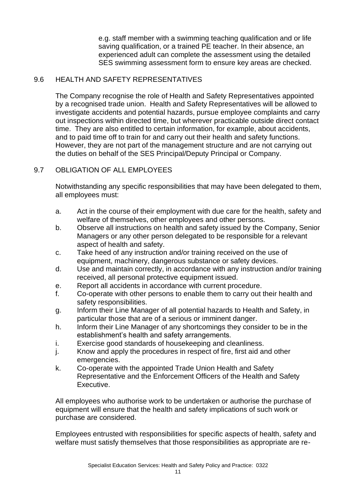e.g. staff member with a swimming teaching qualification and or life saving qualification, or a trained PE teacher. In their absence, an experienced adult can complete the assessment using the detailed SES swimming assessment form to ensure key areas are checked.

#### 9.6 HEALTH AND SAFETY REPRESENTATIVES

The Company recognise the role of Health and Safety Representatives appointed by a recognised trade union. Health and Safety Representatives will be allowed to investigate accidents and potential hazards, pursue employee complaints and carry out inspections within directed time, but wherever practicable outside direct contact time. They are also entitled to certain information, for example, about accidents, and to paid time off to train for and carry out their health and safety functions. However, they are not part of the management structure and are not carrying out the duties on behalf of the SES Principal/Deputy Principal or Company.

#### 9.7 OBLIGATION OF ALL EMPLOYEES

Notwithstanding any specific responsibilities that may have been delegated to them, all employees must:

- a. Act in the course of their employment with due care for the health, safety and welfare of themselves, other employees and other persons.
- b. Observe all instructions on health and safety issued by the Company, Senior Managers or any other person delegated to be responsible for a relevant aspect of health and safety.
- c. Take heed of any instruction and/or training received on the use of equipment, machinery, dangerous substance or safety devices.
- d. Use and maintain correctly, in accordance with any instruction and/or training received, all personal protective equipment issued.
- e. Report all accidents in accordance with current procedure.
- f. Co-operate with other persons to enable them to carry out their health and safety responsibilities.
- g. Inform their Line Manager of all potential hazards to Health and Safety, in particular those that are of a serious or imminent danger.
- h. Inform their Line Manager of any shortcomings they consider to be in the establishment's health and safety arrangements.
- i. Exercise good standards of housekeeping and cleanliness.
- j. Know and apply the procedures in respect of fire, first aid and other emergencies.
- k. Co-operate with the appointed Trade Union Health and Safety Representative and the Enforcement Officers of the Health and Safety Executive.

All employees who authorise work to be undertaken or authorise the purchase of equipment will ensure that the health and safety implications of such work or purchase are considered.

Employees entrusted with responsibilities for specific aspects of health, safety and welfare must satisfy themselves that those responsibilities as appropriate are re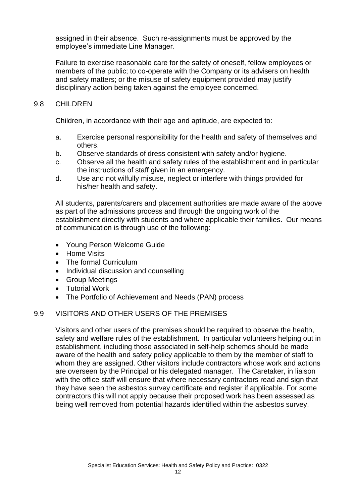assigned in their absence. Such re-assignments must be approved by the employee's immediate Line Manager.

Failure to exercise reasonable care for the safety of oneself, fellow employees or members of the public; to co-operate with the Company or its advisers on health and safety matters; or the misuse of safety equipment provided may justify disciplinary action being taken against the employee concerned.

#### 9.8 CHILDREN

Children, in accordance with their age and aptitude, are expected to:

- a. Exercise personal responsibility for the health and safety of themselves and others.
- b. Observe standards of dress consistent with safety and/or hygiene.
- c. Observe all the health and safety rules of the establishment and in particular the instructions of staff given in an emergency.
- d. Use and not wilfully misuse, neglect or interfere with things provided for his/her health and safety.

All students, parents/carers and placement authorities are made aware of the above as part of the admissions process and through the ongoing work of the establishment directly with students and where applicable their families. Our means of communication is through use of the following:

- Young Person Welcome Guide
- Home Visits
- The formal Curriculum
- Individual discussion and counselling
- Group Meetings
- Tutorial Work
- The Portfolio of Achievement and Needs (PAN) process

#### 9.9 VISITORS AND OTHER USERS OF THE PREMISES

Visitors and other users of the premises should be required to observe the health, safety and welfare rules of the establishment. In particular volunteers helping out in establishment, including those associated in self-help schemes should be made aware of the health and safety policy applicable to them by the member of staff to whom they are assigned. Other visitors include contractors whose work and actions are overseen by the Principal or his delegated manager. The Caretaker, in liaison with the office staff will ensure that where necessary contractors read and sign that they have seen the asbestos survey certificate and register if applicable. For some contractors this will not apply because their proposed work has been assessed as being well removed from potential hazards identified within the asbestos survey.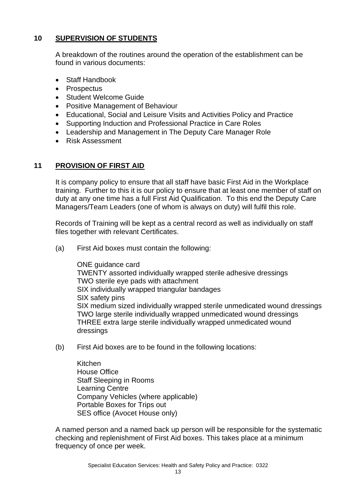#### **10 SUPERVISION OF STUDENTS**

A breakdown of the routines around the operation of the establishment can be found in various documents:

- Staff Handbook
- Prospectus
- Student Welcome Guide
- Positive Management of Behaviour
- Educational, Social and Leisure Visits and Activities Policy and Practice
- Supporting Induction and Professional Practice in Care Roles
- Leadership and Management in The Deputy Care Manager Role
- Risk Assessment

#### **11 PROVISION OF FIRST AID**

It is company policy to ensure that all staff have basic First Aid in the Workplace training. Further to this it is our policy to ensure that at least one member of staff on duty at any one time has a full First Aid Qualification. To this end the Deputy Care Managers/Team Leaders (one of whom is always on duty) will fulfil this role.

Records of Training will be kept as a central record as well as individually on staff files together with relevant Certificates.

(a) First Aid boxes must contain the following:

ONE guidance card TWENTY assorted individually wrapped sterile adhesive dressings TWO sterile eye pads with attachment SIX individually wrapped triangular bandages SIX safety pins SIX medium sized individually wrapped sterile unmedicated wound dressings TWO large sterile individually wrapped unmedicated wound dressings THREE extra large sterile individually wrapped unmedicated wound dressings

(b) First Aid boxes are to be found in the following locations:

Kitchen House Office Staff Sleeping in Rooms Learning Centre Company Vehicles (where applicable) Portable Boxes for Trips out SES office (Avocet House only)

A named person and a named back up person will be responsible for the systematic checking and replenishment of First Aid boxes. This takes place at a minimum frequency of once per week.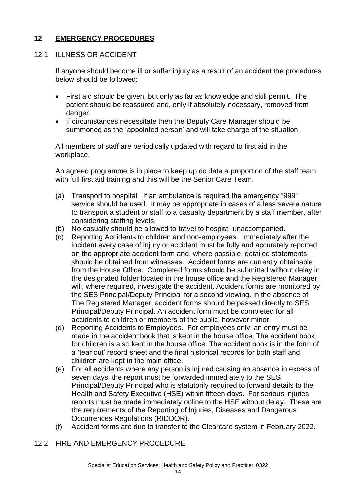#### **12 EMERGENCY PROCEDURES**

#### 12.1 ILLNESS OR ACCIDENT

If anyone should become ill or suffer injury as a result of an accident the procedures below should be followed:

- First aid should be given, but only as far as knowledge and skill permit. The patient should be reassured and, only if absolutely necessary, removed from danger.
- If circumstances necessitate then the Deputy Care Manager should be summoned as the 'appointed person' and will take charge of the situation.

All members of staff are periodically updated with regard to first aid in the workplace.

An agreed programme is in place to keep up do date a proportion of the staff team with full first aid training and this will be the Senior Care Team.

- (a) Transport to hospital. If an ambulance is required the emergency "999" service should be used. It may be appropriate in cases of a less severe nature to transport a student or staff to a casualty department by a staff member, after considering staffing levels.
- (b) No casualty should be allowed to travel to hospital unaccompanied.
- (c) Reporting Accidents to children and non-employees. Immediately after the incident every case of injury or accident must be fully and accurately reported on the appropriate accident form and, where possible, detailed statements should be obtained from witnesses. Accident forms are currently obtainable from the House Office. Completed forms should be submitted without delay in the designated folder located in the house office and the Registered Manager will, where required, investigate the accident. Accident forms are monitored by the SES Principal/Deputy Principal for a second viewing. In the absence of The Registered Manager, accident forms should be passed directly to SES Principal/Deputy Principal. An accident form must be completed for all accidents to children or members of the public, however minor.
- (d) Reporting Accidents to Employees. For employees only, an entry must be made in the accident book that is kept in the house office. The accident book for children is also kept in the house office. The accident book is in the form of a 'tear out' record sheet and the final historical records for both staff and children are kept in the main office.
- (e) For all accidents where any person is injured causing an absence in excess of seven days, the report must be forwarded immediately to the SES Principal/Deputy Principal who is statutorily required to forward details to the Health and Safety Executive (HSE) within fifteen days. For serious injuries reports must be made immediately online to the HSE without delay. These are the requirements of the Reporting of Injuries, Diseases and Dangerous Occurrences Regulations (RIDDOR).
- (f) Accident forms are due to transfer to the Clearcare system in February 2022.
- 12.2 FIRE AND EMERGENCY PROCEDURE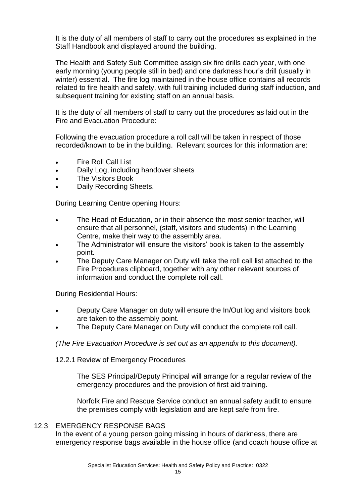It is the duty of all members of staff to carry out the procedures as explained in the Staff Handbook and displayed around the building.

The Health and Safety Sub Committee assign six fire drills each year, with one early morning (young people still in bed) and one darkness hour's drill (usually in winter) essential. The fire log maintained in the house office contains all records related to fire health and safety, with full training included during staff induction, and subsequent training for existing staff on an annual basis.

It is the duty of all members of staff to carry out the procedures as laid out in the Fire and Evacuation Procedure:

Following the evacuation procedure a roll call will be taken in respect of those recorded/known to be in the building. Relevant sources for this information are:

- Fire Roll Call List
- Daily Log, including handover sheets
- The Visitors Book
- Daily Recording Sheets.

During Learning Centre opening Hours:

- The Head of Education, or in their absence the most senior teacher, will ensure that all personnel, (staff, visitors and students) in the Learning Centre, make their way to the assembly area.
- The Administrator will ensure the visitors' book is taken to the assembly point.
- The Deputy Care Manager on Duty will take the roll call list attached to the Fire Procedures clipboard, together with any other relevant sources of information and conduct the complete roll call.

During Residential Hours:

- Deputy Care Manager on duty will ensure the In/Out log and visitors book are taken to the assembly point.
- The Deputy Care Manager on Duty will conduct the complete roll call.

*(The Fire Evacuation Procedure is set out as an appendix to this document).*

12.2.1 Review of Emergency Procedures

The SES Principal/Deputy Principal will arrange for a regular review of the emergency procedures and the provision of first aid training.

Norfolk Fire and Rescue Service conduct an annual safety audit to ensure the premises comply with legislation and are kept safe from fire.

#### 12.3 EMERGENCY RESPONSE BAGS

In the event of a young person going missing in hours of darkness, there are emergency response bags available in the house office (and coach house office at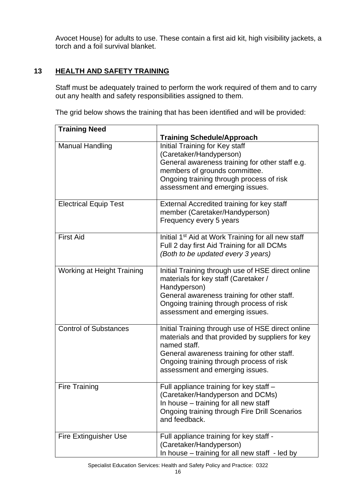Avocet House) for adults to use. These contain a first aid kit, high visibility jackets, a torch and a foil survival blanket.

#### **13 HEALTH AND SAFETY TRAINING**

Staff must be adequately trained to perform the work required of them and to carry out any health and safety responsibilities assigned to them.

The grid below shows the training that has been identified and will be provided:

| <b>Training Need</b>         |                                                                                                                                                                                                                                                     |
|------------------------------|-----------------------------------------------------------------------------------------------------------------------------------------------------------------------------------------------------------------------------------------------------|
|                              | <b>Training Schedule/Approach</b>                                                                                                                                                                                                                   |
| <b>Manual Handling</b>       | Initial Training for Key staff<br>(Caretaker/Handyperson)<br>General awareness training for other staff e.g.<br>members of grounds committee.<br>Ongoing training through process of risk<br>assessment and emerging issues.                        |
| <b>Electrical Equip Test</b> | External Accredited training for key staff<br>member (Caretaker/Handyperson)<br>Frequency every 5 years                                                                                                                                             |
| <b>First Aid</b>             | Initial 1 <sup>st</sup> Aid at Work Training for all new staff<br>Full 2 day first Aid Training for all DCMs<br>(Both to be updated every 3 years)                                                                                                  |
| Working at Height Training   | Initial Training through use of HSE direct online<br>materials for key staff (Caretaker /<br>Handyperson)<br>General awareness training for other staff.<br>Ongoing training through process of risk<br>assessment and emerging issues.             |
| <b>Control of Substances</b> | Initial Training through use of HSE direct online<br>materials and that provided by suppliers for key<br>named staff.<br>General awareness training for other staff.<br>Ongoing training through process of risk<br>assessment and emerging issues. |
| <b>Fire Training</b>         | Full appliance training for key staff -<br>(Caretaker/Handyperson and DCMs)<br>In house – training for all new staff<br>Ongoing training through Fire Drill Scenarios<br>and feedback.                                                              |
| <b>Fire Extinguisher Use</b> | Full appliance training for key staff -<br>(Caretaker/Handyperson)<br>In house – training for all new staff - led by                                                                                                                                |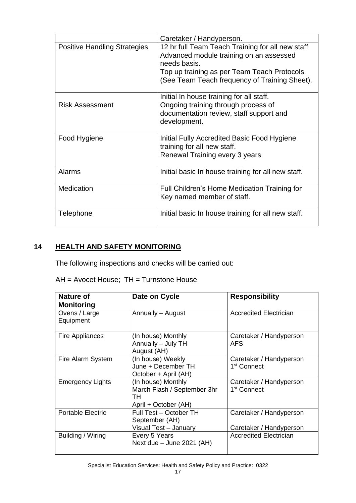|                                     | Caretaker / Handyperson.                                                                                                                                                                                    |
|-------------------------------------|-------------------------------------------------------------------------------------------------------------------------------------------------------------------------------------------------------------|
| <b>Positive Handling Strategies</b> | 12 hr full Team Teach Training for all new staff<br>Advanced module training on an assessed<br>needs basis.<br>Top up training as per Team Teach Protocols<br>(See Team Teach frequency of Training Sheet). |
| <b>Risk Assessment</b>              | Initial In house training for all staff.<br>Ongoing training through process of<br>documentation review, staff support and<br>development.                                                                  |
| Food Hygiene                        | Initial Fully Accredited Basic Food Hygiene<br>training for all new staff.<br>Renewal Training every 3 years                                                                                                |
| <b>Alarms</b>                       | Initial basic In house training for all new staff.                                                                                                                                                          |
| Medication                          | Full Children's Home Medication Training for<br>Key named member of staff.                                                                                                                                  |
| Telephone                           | Initial basic In house training for all new staff.                                                                                                                                                          |

#### **14 HEALTH AND SAFETY MONITORING**

The following inspections and checks will be carried out:

| $AH = Avocet House$ ; $TH = Turnstone House$ |  |  |  |
|----------------------------------------------|--|--|--|
|----------------------------------------------|--|--|--|

| Nature of<br><b>Monitoring</b> | Date on Cycle                                                                   | <b>Responsibility</b>                              |
|--------------------------------|---------------------------------------------------------------------------------|----------------------------------------------------|
| Ovens / Large<br>Equipment     | Annually - August                                                               | Accredited Electrician                             |
| Fire Appliances                | (In house) Monthly<br>Annually - July TH<br>August (AH)                         | Caretaker / Handyperson<br><b>AFS</b>              |
| Fire Alarm System              | (In house) Weekly<br>June + December TH<br>October + April (AH)                 | Caretaker / Handyperson<br>1 <sup>st</sup> Connect |
| <b>Emergency Lights</b>        | (In house) Monthly<br>March Flash / September 3hr<br>тн<br>April + October (AH) | Caretaker / Handyperson<br>1 <sup>st</sup> Connect |
| <b>Portable Electric</b>       | Full Test - October TH<br>September (AH)<br>Visual Test - January               | Caretaker / Handyperson<br>Caretaker / Handyperson |
| Building / Wiring              | Every 5 Years<br>Next due $-$ June 2021 (AH)                                    | <b>Accredited Electrician</b>                      |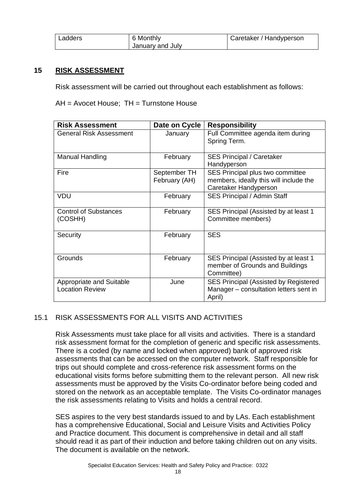| Ladders | 6 Monthly        | Caretaker / Handyperson |
|---------|------------------|-------------------------|
|         | January and July |                         |

#### **15 RISK ASSESSMENT**

Risk assessment will be carried out throughout each establishment as follows:

AH = Avocet House; TH = Turnstone House

| <b>Risk Assessment</b>                                    | Date on Cycle                 | <b>Responsibility</b>                                                                               |
|-----------------------------------------------------------|-------------------------------|-----------------------------------------------------------------------------------------------------|
| <b>General Risk Assessment</b>                            | January                       | Full Committee agenda item during<br>Spring Term.                                                   |
| Manual Handling                                           | February                      | <b>SES Principal / Caretaker</b><br>Handyperson                                                     |
| Fire                                                      | September TH<br>February (AH) | SES Principal plus two committee<br>members, ideally this will include the<br>Caretaker Handyperson |
| <b>VDU</b>                                                | February                      | <b>SES Principal / Admin Staff</b>                                                                  |
| <b>Control of Substances</b><br>(COSHH)                   | February                      | SES Principal (Assisted by at least 1<br>Committee members)                                         |
| Security                                                  | February                      | <b>SES</b>                                                                                          |
| Grounds                                                   | February                      | SES Principal (Assisted by at least 1<br>member of Grounds and Buildings<br>Committee)              |
| <b>Appropriate and Suitable</b><br><b>Location Review</b> | June                          | <b>SES Principal (Assisted by Registered</b><br>Manager – consultation letters sent in<br>April)    |

#### 15.1 RISK ASSESSMENTS FOR ALL VISITS AND ACTIVITIES

Risk Assessments must take place for all visits and activities. There is a standard risk assessment format for the completion of generic and specific risk assessments. There is a coded (by name and locked when approved) bank of approved risk assessments that can be accessed on the computer network. Staff responsible for trips out should complete and cross-reference risk assessment forms on the educational visits forms before submitting them to the relevant person. All new risk assessments must be approved by the Visits Co-ordinator before being coded and stored on the network as an acceptable template. The Visits Co-ordinator manages the risk assessments relating to Visits and holds a central record.

SES aspires to the very best standards issued to and by LAs. Each establishment has a comprehensive Educational, Social and Leisure Visits and Activities Policy and Practice document. This document is comprehensive in detail and all staff should read it as part of their induction and before taking children out on any visits. The document is available on the network.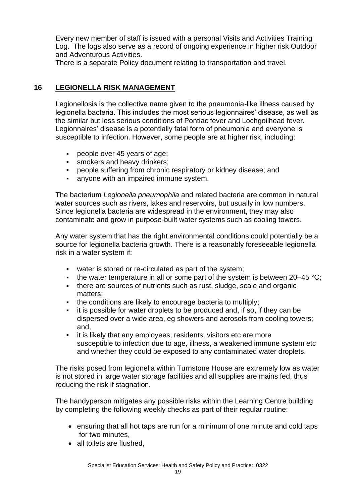Every new member of staff is issued with a personal Visits and Activities Training Log. The logs also serve as a record of ongoing experience in higher risk Outdoor and Adventurous Activities.

There is a separate Policy document relating to transportation and travel.

#### **16 LEGIONELLA RISK MANAGEMENT**

Legionellosis is the collective name given to the pneumonia-like illness caused by legionella bacteria. This includes the most serious legionnaires' disease, as well as the similar but less serious conditions of Pontiac fever and Lochgoilhead fever. Legionnaires' disease is a potentially fatal form of pneumonia and everyone is susceptible to infection. However, some people are at higher risk, including:

- people over 45 years of age;
- **·** smokers and heavy drinkers;
- people suffering from chronic respiratory or kidney disease; and
- **anyone with an impaired immune system.**

The bacterium *Legionella pneumophila* and related bacteria are common in natural water sources such as rivers, lakes and reservoirs, but usually in low numbers. Since legionella bacteria are widespread in the environment, they may also contaminate and grow in purpose-built water systems such as cooling towers.

Any water system that has the right environmental conditions could potentially be a source for legionella bacteria growth. There is a reasonably foreseeable legionella risk in a water system if:

- water is stored or re-circulated as part of the system;
- **•** the water temperature in all or some part of the system is between 20–45 °C;
- there are sources of nutrients such as rust, sludge, scale and organic matters;
- the conditions are likely to encourage bacteria to multiply;
- it is possible for water droplets to be produced and, if so, if they can be dispersed over a wide area, eg showers and aerosols from cooling towers; and,
- it is likely that any employees, residents, visitors etc are more susceptible to infection due to age, illness, a weakened immune system etc and whether they could be exposed to any contaminated water droplets.

The risks posed from legionella within Turnstone House are extremely low as water is not stored in large water storage facilities and all supplies are mains fed, thus reducing the risk if stagnation.

The handyperson mitigates any possible risks within the Learning Centre building by completing the following weekly checks as part of their regular routine:

- ensuring that all hot taps are run for a minimum of one minute and cold taps for two minutes,
- all toilets are flushed.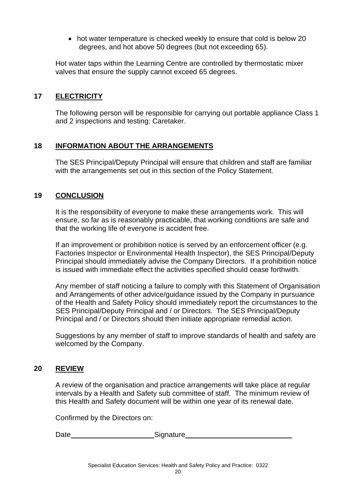• hot water temperature is checked weekly to ensure that cold is below 20 degrees, and hot above 50 degrees (but not exceeding 65).

Hot water taps within the Learning Centre are controlled by thermostatic mixer valves that ensure the supply cannot exceed 65 degrees.

#### **17 ELECTRICITY**

The following person will be responsible for carrying out portable appliance Class 1 and 2 inspections and testing: Caretaker.

#### **18 INFORMATION ABOUT THE ARRANGEMENTS**

The SES Principal/Deputy Principal will ensure that children and staff are familiar with the arrangements set out in this section of the Policy Statement.

#### **19 CONCLUSION**

It is the responsibility of everyone to make these arrangements work. This will ensure, so far as is reasonably practicable, that working conditions are safe and that the working life of everyone is accident free.

If an improvement or prohibition notice is served by an enforcement officer (e.g. Factories Inspector or Environmental Health Inspector), the SES Principal/Deputy Principal should immediately advise the Company Directors. If a prohibition notice is issued with immediate effect the activities specified should cease forthwith.

Any member of staff noticing a failure to comply with this Statement of Organisation and Arrangements of other advice/guidance issued by the Company in pursuance of the Health and Safety Policy should immediately report the circumstances to the SES Principal/Deputy Principal and / or Directors. The SES Principal/Deputy Principal and / or Directors should then initiate appropriate remedial action.

Suggestions by any member of staff to improve standards of health and safety are welcomed by the Company.

#### **20 REVIEW**

A review of the organisation and practice arrangements will take place at regular intervals by a Health and Safety sub committee of staff. The minimum review of this Health and Safety document will be within one year of its renewal date.

Confirmed by the Directors on:

Date \_\_\_\_\_\_\_\_\_\_\_\_\_\_\_\_\_\_\_\_\_\_\_\_\_\_\_\_Signature\_\_\_\_\_\_\_\_\_\_\_\_\_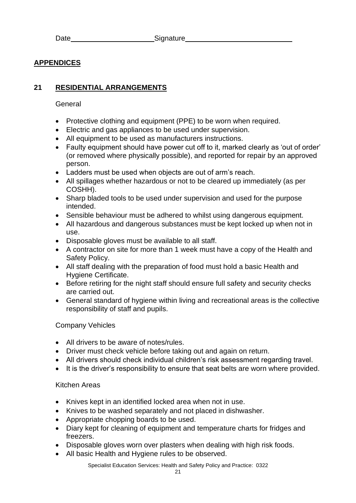#### **APPENDICES**

#### **21 RESIDENTIAL ARRANGEMENTS**

#### General

- Protective clothing and equipment (PPE) to be worn when required.
- Electric and gas appliances to be used under supervision.
- All equipment to be used as manufacturers instructions.
- Faulty equipment should have power cut off to it, marked clearly as 'out of order' (or removed where physically possible), and reported for repair by an approved person.
- Ladders must be used when objects are out of arm's reach.
- All spillages whether hazardous or not to be cleared up immediately (as per COSHH).
- Sharp bladed tools to be used under supervision and used for the purpose intended.
- Sensible behaviour must be adhered to whilst using dangerous equipment.
- All hazardous and dangerous substances must be kept locked up when not in use.
- Disposable gloves must be available to all staff.
- A contractor on site for more than 1 week must have a copy of the Health and Safety Policy.
- All staff dealing with the preparation of food must hold a basic Health and Hygiene Certificate.
- Before retiring for the night staff should ensure full safety and security checks are carried out.
- General standard of hygiene within living and recreational areas is the collective responsibility of staff and pupils.

#### Company Vehicles

- All drivers to be aware of notes/rules.
- Driver must check vehicle before taking out and again on return.
- All drivers should check individual children's risk assessment regarding travel.
- It is the driver's responsibility to ensure that seat belts are worn where provided.

#### Kitchen Areas

- Knives kept in an identified locked area when not in use.
- Knives to be washed separately and not placed in dishwasher.
- Appropriate chopping boards to be used.
- Diary kept for cleaning of equipment and temperature charts for fridges and freezers.
- Disposable gloves worn over plasters when dealing with high risk foods.
- All basic Health and Hygiene rules to be observed.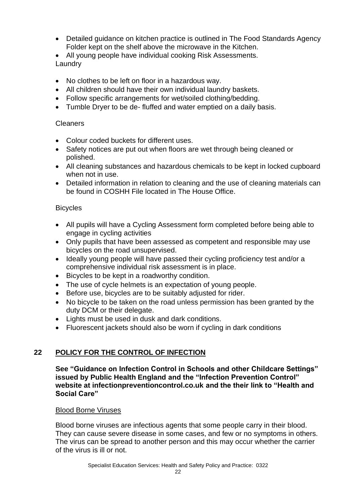- Detailed guidance on kitchen practice is outlined in The Food Standards Agency Folder kept on the shelf above the microwave in the Kitchen.
- All young people have individual cooking Risk Assessments. Laundry
- No clothes to be left on floor in a hazardous way.
- All children should have their own individual laundry baskets.
- Follow specific arrangements for wet/soiled clothing/bedding.
- Tumble Dryer to be de- fluffed and water emptied on a daily basis.

#### Cleaners

- Colour coded buckets for different uses.
- Safety notices are put out when floors are wet through being cleaned or polished.
- All cleaning substances and hazardous chemicals to be kept in locked cupboard when not in use.
- Detailed information in relation to cleaning and the use of cleaning materials can be found in COSHH File located in The House Office.

#### Bicycles

- All pupils will have a Cycling Assessment form completed before being able to engage in cycling activities
- Only pupils that have been assessed as competent and responsible may use bicycles on the road unsupervised.
- Ideally young people will have passed their cycling proficiency test and/or a comprehensive individual risk assessment is in place.
- Bicycles to be kept in a roadworthy condition.
- The use of cycle helmets is an expectation of young people.
- Before use, bicycles are to be suitably adjusted for rider.
- No bicycle to be taken on the road unless permission has been granted by the duty DCM or their delegate.
- Lights must be used in dusk and dark conditions.
- Fluorescent jackets should also be worn if cycling in dark conditions

#### **22 POLICY FOR THE CONTROL OF INFECTION**

**See "Guidance on Infection Control in Schools and other Childcare Settings" issued by Public Health England and the "Infection Prevention Control" website at infectionpreventioncontrol.co.uk and the their link to "Health and Social Care"**

#### Blood Borne Viruses

Blood borne viruses are infectious agents that some people carry in their blood. They can cause severe disease in some cases, and few or no symptoms in others. The virus can be spread to another person and this may occur whether the carrier of the virus is ill or not.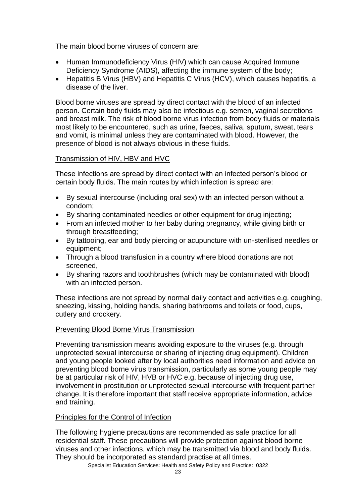The main blood borne viruses of concern are:

- Human Immunodeficiency Virus (HIV) which can cause Acquired Immune Deficiency Syndrome (AIDS), affecting the immune system of the body;
- Hepatitis B Virus (HBV) and Hepatitis C Virus (HCV), which causes hepatitis, a disease of the liver.

Blood borne viruses are spread by direct contact with the blood of an infected person. Certain body fluids may also be infectious e.g. semen, vaginal secretions and breast milk. The risk of blood borne virus infection from body fluids or materials most likely to be encountered, such as urine, faeces, saliva, sputum, sweat, tears and vomit, is minimal unless they are contaminated with blood. However, the presence of blood is not always obvious in these fluids.

#### Transmission of HIV, HBV and HVC

These infections are spread by direct contact with an infected person's blood or certain body fluids. The main routes by which infection is spread are:

- By sexual intercourse (including oral sex) with an infected person without a condom;
- By sharing contaminated needles or other equipment for drug injecting;
- From an infected mother to her baby during pregnancy, while giving birth or through breastfeeding;
- By tattooing, ear and body piercing or acupuncture with un-sterilised needles or equipment;
- Through a blood transfusion in a country where blood donations are not screened,
- By sharing razors and toothbrushes (which may be contaminated with blood) with an infected person.

These infections are not spread by normal daily contact and activities e.g. coughing, sneezing, kissing, holding hands, sharing bathrooms and toilets or food, cups, cutlery and crockery.

#### Preventing Blood Borne Virus Transmission

Preventing transmission means avoiding exposure to the viruses (e.g. through unprotected sexual intercourse or sharing of injecting drug equipment). Children and young people looked after by local authorities need information and advice on preventing blood borne virus transmission, particularly as some young people may be at particular risk of HIV, HVB or HVC e.g. because of injecting drug use, involvement in prostitution or unprotected sexual intercourse with frequent partner change. It is therefore important that staff receive appropriate information, advice and training.

#### Principles for the Control of Infection

The following hygiene precautions are recommended as safe practice for all residential staff. These precautions will provide protection against blood borne viruses and other infections, which may be transmitted via blood and body fluids. They should be incorporated as standard practise at all times.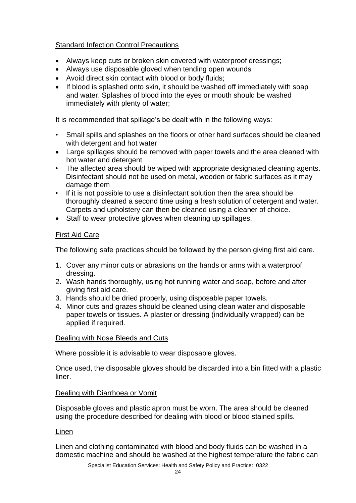#### Standard Infection Control Precautions

- Always keep cuts or broken skin covered with waterproof dressings;
- Always use disposable gloved when tending open wounds
- Avoid direct skin contact with blood or body fluids;
- If blood is splashed onto skin, it should be washed off immediately with soap and water. Splashes of blood into the eyes or mouth should be washed immediately with plenty of water;

It is recommended that spillage's be dealt with in the following ways:

- Small spills and splashes on the floors or other hard surfaces should be cleaned with detergent and hot water
- Large spillages should be removed with paper towels and the area cleaned with hot water and detergent
- The affected area should be wiped with appropriate designated cleaning agents. Disinfectant should not be used on metal, wooden or fabric surfaces as it may damage them
- If it is not possible to use a disinfectant solution then the area should be thoroughly cleaned a second time using a fresh solution of detergent and water. Carpets and upholstery can then be cleaned using a cleaner of choice.
- Staff to wear protective gloves when cleaning up spillages.

#### First Aid Care

The following safe practices should be followed by the person giving first aid care.

- 1. Cover any minor cuts or abrasions on the hands or arms with a waterproof dressing.
- 2. Wash hands thoroughly, using hot running water and soap, before and after giving first aid care.
- 3. Hands should be dried properly, using disposable paper towels.
- 4. Minor cuts and grazes should be cleaned using clean water and disposable paper towels or tissues. A plaster or dressing (individually wrapped) can be applied if required.

#### Dealing with Nose Bleeds and Cuts

Where possible it is advisable to wear disposable gloves.

Once used, the disposable gloves should be discarded into a bin fitted with a plastic liner.

#### Dealing with Diarrhoea or Vomit

Disposable gloves and plastic apron must be worn. The area should be cleaned using the procedure described for dealing with blood or blood stained spills.

#### Linen

Linen and clothing contaminated with blood and body fluids can be washed in a domestic machine and should be washed at the highest temperature the fabric can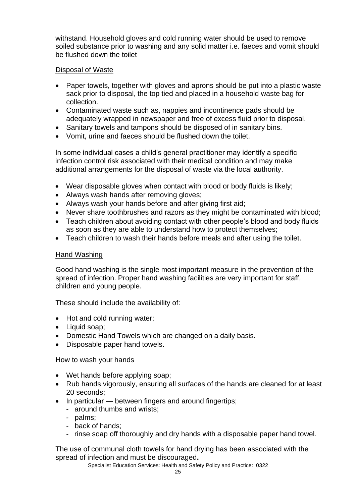withstand. Household gloves and cold running water should be used to remove soiled substance prior to washing and any solid matter i.e. faeces and vomit should be flushed down the toilet

#### Disposal of Waste

- Paper towels, together with gloves and aprons should be put into a plastic waste sack prior to disposal, the top tied and placed in a household waste bag for collection.
- Contaminated waste such as, nappies and incontinence pads should be adequately wrapped in newspaper and free of excess fluid prior to disposal.
- Sanitary towels and tampons should be disposed of in sanitary bins.
- Vomit, urine and faeces should be flushed down the toilet.

In some individual cases a child's general practitioner may identify a specific infection control risk associated with their medical condition and may make additional arrangements for the disposal of waste via the local authority.

- Wear disposable gloves when contact with blood or body fluids is likely;
- Always wash hands after removing gloves;
- Always wash your hands before and after giving first aid;
- Never share toothbrushes and razors as they might be contaminated with blood;
- Teach children about avoiding contact with other people's blood and body fluids as soon as they are able to understand how to protect themselves;
- Teach children to wash their hands before meals and after using the toilet.

#### Hand Washing

Good hand washing is the single most important measure in the prevention of the spread of infection. Proper hand washing facilities are very important for staff, children and young people.

These should include the availability of:

- Hot and cold running water;
- Liquid soap;
- Domestic Hand Towels which are changed on a daily basis.
- Disposable paper hand towels.

How to wash your hands

- Wet hands before applying soap;
- Rub hands vigorously, ensuring all surfaces of the hands are cleaned for at least 20 seconds;
- In particular between fingers and around fingertips;
	- around thumbs and wrists;
	- palms;
	- back of hands;
	- rinse soap off thoroughly and dry hands with a disposable paper hand towel.

The use of communal cloth towels for hand drying has been associated with the spread of infection and must be discouraged**.**

Specialist Education Services: Health and Safety Policy and Practice: 0322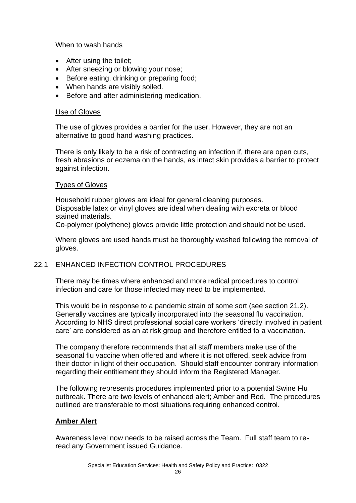When to wash hands

- After using the toilet;
- After sneezing or blowing your nose;
- Before eating, drinking or preparing food;
- When hands are visibly soiled.
- Before and after administering medication.

#### Use of Gloves

The use of gloves provides a barrier for the user. However, they are not an alternative to good hand washing practices.

There is only likely to be a risk of contracting an infection if, there are open cuts, fresh abrasions or eczema on the hands, as intact skin provides a barrier to protect against infection.

#### Types of Gloves

Household rubber gloves are ideal for general cleaning purposes. Disposable latex or vinyl gloves are ideal when dealing with excreta or blood stained materials.

Co-polymer (polythene) gloves provide little protection and should not be used.

Where gloves are used hands must be thoroughly washed following the removal of gloves.

#### 22.1 ENHANCED INFECTION CONTROL PROCEDURES

There may be times where enhanced and more radical procedures to control infection and care for those infected may need to be implemented.

This would be in response to a pandemic strain of some sort (see section 21.2). Generally vaccines are typically incorporated into the seasonal flu vaccination. According to NHS direct professional social care workers 'directly involved in patient care' are considered as an at risk group and therefore entitled to a vaccination.

The company therefore recommends that all staff members make use of the seasonal flu vaccine when offered and where it is not offered, seek advice from their doctor in light of their occupation. Should staff encounter contrary information regarding their entitlement they should inform the Registered Manager.

The following represents procedures implemented prior to a potential Swine Flu outbreak. There are two levels of enhanced alert; Amber and Red. The procedures outlined are transferable to most situations requiring enhanced control.

#### **Amber Alert**

Awareness level now needs to be raised across the Team. Full staff team to reread any Government issued Guidance.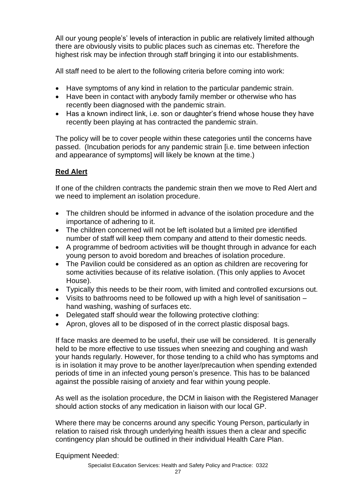All our young people's' levels of interaction in public are relatively limited although there are obviously visits to public places such as cinemas etc. Therefore the highest risk may be infection through staff bringing it into our establishments.

All staff need to be alert to the following criteria before coming into work:

- Have symptoms of any kind in relation to the particular pandemic strain.
- Have been in contact with anybody family member or otherwise who has recently been diagnosed with the pandemic strain.
- Has a known indirect link, i.e. son or daughter's friend whose house they have recently been playing at has contracted the pandemic strain.

The policy will be to cover people within these categories until the concerns have passed. (Incubation periods for any pandemic strain [i.e. time between infection and appearance of symptoms] will likely be known at the time.)

#### **Red Alert**

If one of the children contracts the pandemic strain then we move to Red Alert and we need to implement an isolation procedure.

- The children should be informed in advance of the isolation procedure and the importance of adhering to it.
- The children concerned will not be left isolated but a limited pre identified number of staff will keep them company and attend to their domestic needs.
- A programme of bedroom activities will be thought through in advance for each young person to avoid boredom and breaches of isolation procedure.
- The Pavilion could be considered as an option as children are recovering for some activities because of its relative isolation. (This only applies to Avocet House).
- Typically this needs to be their room, with limited and controlled excursions out.
- Visits to bathrooms need to be followed up with a high level of sanitisation hand washing, washing of surfaces etc.
- Delegated staff should wear the following protective clothing:
- Apron, gloves all to be disposed of in the correct plastic disposal bags.

If face masks are deemed to be useful, their use will be considered. It is generally held to be more effective to use tissues when sneezing and coughing and wash your hands regularly. However, for those tending to a child who has symptoms and is in isolation it may prove to be another layer/precaution when spending extended periods of time in an infected young person's presence. This has to be balanced against the possible raising of anxiety and fear within young people.

As well as the isolation procedure, the DCM in liaison with the Registered Manager should action stocks of any medication in liaison with our local GP.

Where there may be concerns around any specific Young Person, particularly in relation to raised risk through underlying health issues then a clear and specific contingency plan should be outlined in their individual Health Care Plan.

Equipment Needed: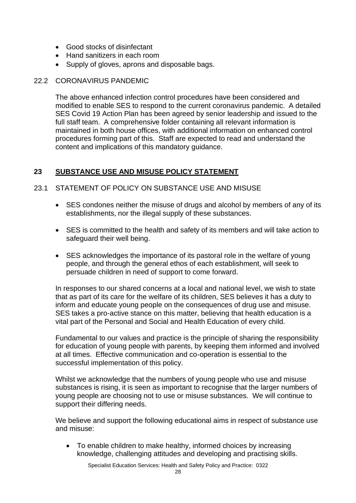- Good stocks of disinfectant
- Hand sanitizers in each room
- Supply of gloves, aprons and disposable bags.

#### 22.2 CORONAVIRUS PANDEMIC

The above enhanced infection control procedures have been considered and modified to enable SES to respond to the current coronavirus pandemic. A detailed SES Covid 19 Action Plan has been agreed by senior leadership and issued to the full staff team. A comprehensive folder containing all relevant information is maintained in both house offices, with additional information on enhanced control procedures forming part of this. Staff are expected to read and understand the content and implications of this mandatory guidance.

#### **23 SUBSTANCE USE AND MISUSE POLICY STATEMENT**

- 23.1 STATEMENT OF POLICY ON SUBSTANCE USE AND MISUSE
	- SES condones neither the misuse of drugs and alcohol by members of any of its establishments, nor the illegal supply of these substances.
	- SES is committed to the health and safety of its members and will take action to safeguard their well being.
	- SES acknowledges the importance of its pastoral role in the welfare of young people, and through the general ethos of each establishment, will seek to persuade children in need of support to come forward.

In responses to our shared concerns at a local and national level, we wish to state that as part of its care for the welfare of its children, SES believes it has a duty to inform and educate young people on the consequences of drug use and misuse. SES takes a pro-active stance on this matter, believing that health education is a vital part of the Personal and Social and Health Education of every child.

Fundamental to our values and practice is the principle of sharing the responsibility for education of young people with parents, by keeping them informed and involved at all times. Effective communication and co-operation is essential to the successful implementation of this policy.

Whilst we acknowledge that the numbers of young people who use and misuse substances is rising, it is seen as important to recognise that the larger numbers of young people are choosing not to use or misuse substances. We will continue to support their differing needs.

We believe and support the following educational aims in respect of substance use and misuse:

• To enable children to make healthy, informed choices by increasing knowledge, challenging attitudes and developing and practising skills.

Specialist Education Services: Health and Safety Policy and Practice: 0322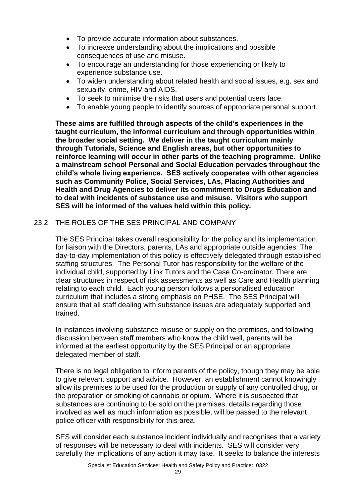- To provide accurate information about substances.
- To increase understanding about the implications and possible consequences of use and misuse.
- To encourage an understanding for those experiencing or likely to experience substance use.
- To widen understanding about related health and social issues, e.g. sex and sexuality, crime, HIV and AIDS.
- To seek to minimise the risks that users and potential users face
- To enable young people to identify sources of appropriate personal support.

**These aims are fulfilled through aspects of the child's experiences in the taught curriculum, the informal curriculum and through opportunities within the broader social setting. We deliver in the taught curriculum mainly through Tutorials, Science and English areas, but other opportunities to reinforce learning will occur in other parts of the teaching programme. Unlike a mainstream school Personal and Social Education pervades throughout the child's whole living experience. SES actively cooperates with other agencies such as Community Police, Social Services, LAs, Placing Authorities and Health and Drug Agencies to deliver its commitment to Drugs Education and to deal with incidents of substance use and misuse. Visitors who support SES will be informed of the values held within this policy.**

#### 23.2 THE ROLES OF THE SES PRINCIPAL AND COMPANY

The SES Principal takes overall responsibility for the policy and its implementation, for liaison with the Directors, parents, LAs and appropriate outside agencies. The day-to-day implementation of this policy is effectively delegated through established staffing structures. The Personal Tutor has responsibility for the welfare of the individual child, supported by Link Tutors and the Case Co-ordinator. There are clear structures in respect of risk assessments as well as Care and Health planning relating to each child. Each young person follows a personalised education curriculum that includes a strong emphasis on PHSE. The SES Principal will ensure that all staff dealing with substance issues are adequately supported and trained.

In instances involving substance misuse or supply on the premises, and following discussion between staff members who know the child well, parents will be informed at the earliest opportunity by the SES Principal or an appropriate delegated member of staff.

There is no legal obligation to inform parents of the policy, though they may be able to give relevant support and advice. However, an establishment cannot knowingly allow its premises to be used for the production or supply of any controlled drug, or the preparation or smoking of cannabis or opium. Where it is suspected that substances are continuing to be sold on the premises, details regarding those involved as well as much information as possible, will be passed to the relevant police officer with responsibility for this area.

SES will consider each substance incident individually and recognises that a variety of responses will be necessary to deal with incidents. SES will consider very carefully the implications of any action it may take. It seeks to balance the interests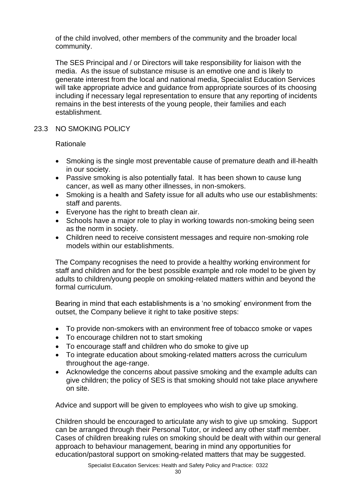of the child involved, other members of the community and the broader local community.

The SES Principal and / or Directors will take responsibility for liaison with the media. As the issue of substance misuse is an emotive one and is likely to generate interest from the local and national media, Specialist Education Services will take appropriate advice and guidance from appropriate sources of its choosing including if necessary legal representation to ensure that any reporting of incidents remains in the best interests of the young people, their families and each establishment.

#### 23.3 NO SMOKING POLICY

Rationale

- Smoking is the single most preventable cause of premature death and ill-health in our society.
- Passive smoking is also potentially fatal. It has been shown to cause lung cancer, as well as many other illnesses, in non-smokers.
- Smoking is a health and Safety issue for all adults who use our establishments: staff and parents.
- Everyone has the right to breath clean air.
- Schools have a major role to play in working towards non-smoking being seen as the norm in society.
- Children need to receive consistent messages and require non-smoking role models within our establishments.

The Company recognises the need to provide a healthy working environment for staff and children and for the best possible example and role model to be given by adults to children/young people on smoking-related matters within and beyond the formal curriculum.

Bearing in mind that each establishments is a 'no smoking' environment from the outset, the Company believe it right to take positive steps:

- To provide non-smokers with an environment free of tobacco smoke or vapes
- To encourage children not to start smoking
- To encourage staff and children who do smoke to give up
- To integrate education about smoking-related matters across the curriculum throughout the age-range.
- Acknowledge the concerns about passive smoking and the example adults can give children; the policy of SES is that smoking should not take place anywhere on site.

Advice and support will be given to employees who wish to give up smoking.

Children should be encouraged to articulate any wish to give up smoking. Support can be arranged through their Personal Tutor, or indeed any other staff member. Cases of children breaking rules on smoking should be dealt with within our general approach to behaviour management, bearing in mind any opportunities for education/pastoral support on smoking-related matters that may be suggested.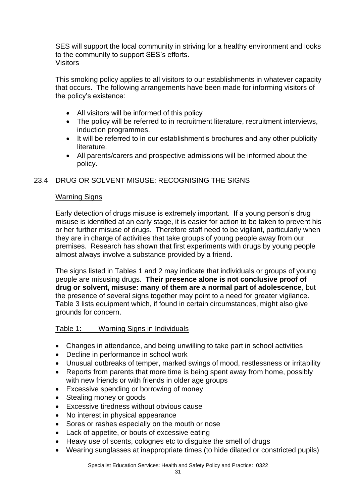SES will support the local community in striving for a healthy environment and looks to the community to support SES's efforts. Visitors

This smoking policy applies to all visitors to our establishments in whatever capacity that occurs. The following arrangements have been made for informing visitors of the policy's existence:

- All visitors will be informed of this policy
- The policy will be referred to in recruitment literature, recruitment interviews, induction programmes.
- It will be referred to in our establishment's brochures and any other publicity literature.
- All parents/carers and prospective admissions will be informed about the policy.

#### 23.4 DRUG OR SOLVENT MISUSE: RECOGNISING THE SIGNS

#### Warning Signs

Early detection of drugs misuse is extremely important. If a young person's drug misuse is identified at an early stage, it is easier for action to be taken to prevent his or her further misuse of drugs. Therefore staff need to be vigilant, particularly when they are in charge of activities that take groups of young people away from our premises. Research has shown that first experiments with drugs by young people almost always involve a substance provided by a friend.

The signs listed in Tables 1 and 2 may indicate that individuals or groups of young people are misusing drugs. **Their presence alone is not conclusive proof of drug or solvent, misuse: many of them are a normal part of adolescence**, but the presence of several signs together may point to a need for greater vigilance. Table 3 lists equipment which, if found in certain circumstances, might also give grounds for concern.

#### Table 1: Warning Signs in Individuals

- Changes in attendance, and being unwilling to take part in school activities
- Decline in performance in school work
- Unusual outbreaks of temper, marked swings of mood, restlessness or irritability
- Reports from parents that more time is being spent away from home, possibly with new friends or with friends in older age groups
- Excessive spending or borrowing of money
- Stealing money or goods
- Excessive tiredness without obvious cause
- No interest in physical appearance
- Sores or rashes especially on the mouth or nose
- Lack of appetite, or bouts of excessive eating
- Heavy use of scents, colognes etc to disguise the smell of drugs
- Wearing sunglasses at inappropriate times (to hide dilated or constricted pupils)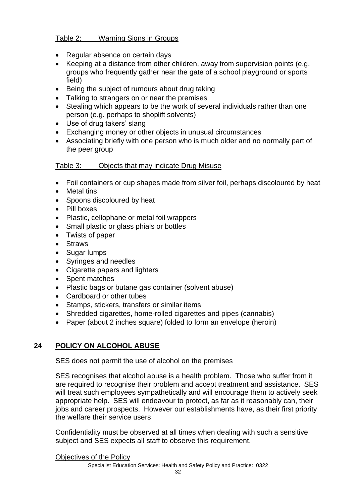#### Table 2: Warning Signs in Groups

- Regular absence on certain days
- Keeping at a distance from other children, away from supervision points (e.g. groups who frequently gather near the gate of a school playground or sports field)
- Being the subject of rumours about drug taking
- Talking to strangers on or near the premises
- Stealing which appears to be the work of several individuals rather than one person (e.g. perhaps to shoplift solvents)
- Use of drug takers' slang
- Exchanging money or other objects in unusual circumstances
- Associating briefly with one person who is much older and no normally part of the peer group

#### Table 3: Objects that may indicate Drug Misuse

- Foil containers or cup shapes made from silver foil, perhaps discoloured by heat
- **Metal tins**
- Spoons discoloured by heat
- Pill boxes
- Plastic, cellophane or metal foil wrappers
- Small plastic or glass phials or bottles
- Twists of paper
- Straws
- Sugar lumps
- Syringes and needles
- Cigarette papers and lighters
- Spent matches
- Plastic bags or butane gas container (solvent abuse)
- Cardboard or other tubes
- Stamps, stickers, transfers or similar items
- Shredded cigarettes, home-rolled cigarettes and pipes (cannabis)
- Paper (about 2 inches square) folded to form an envelope (heroin)

#### **24 POLICY ON ALCOHOL ABUSE**

SES does not permit the use of alcohol on the premises

SES recognises that alcohol abuse is a health problem. Those who suffer from it are required to recognise their problem and accept treatment and assistance. SES will treat such employees sympathetically and will encourage them to actively seek appropriate help. SES will endeavour to protect, as far as it reasonably can, their jobs and career prospects. However our establishments have, as their first priority the welfare their service users

Confidentiality must be observed at all times when dealing with such a sensitive subject and SES expects all staff to observe this requirement.

Objectives of the Policy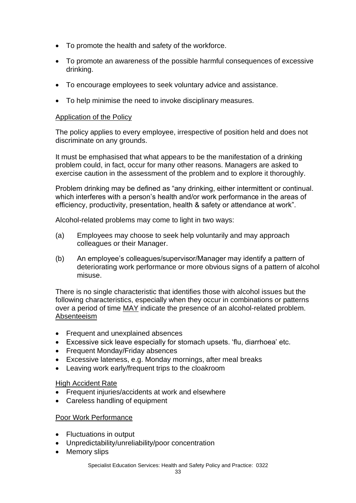- To promote the health and safety of the workforce.
- To promote an awareness of the possible harmful consequences of excessive drinking.
- To encourage employees to seek voluntary advice and assistance.
- To help minimise the need to invoke disciplinary measures.

#### Application of the Policy

The policy applies to every employee, irrespective of position held and does not discriminate on any grounds.

It must be emphasised that what appears to be the manifestation of a drinking problem could, in fact, occur for many other reasons. Managers are asked to exercise caution in the assessment of the problem and to explore it thoroughly.

Problem drinking may be defined as "any drinking, either intermittent or continual. which interferes with a person's health and/or work performance in the areas of efficiency, productivity, presentation, health & safety or attendance at work".

Alcohol-related problems may come to light in two ways:

- (a) Employees may choose to seek help voluntarily and may approach colleagues or their Manager.
- (b) An employee's colleagues/supervisor/Manager may identify a pattern of deteriorating work performance or more obvious signs of a pattern of alcohol misuse.

There is no single characteristic that identifies those with alcohol issues but the following characteristics, especially when they occur in combinations or patterns over a period of time MAY indicate the presence of an alcohol-related problem. Absenteeism

- Frequent and unexplained absences
- Excessive sick leave especially for stomach upsets. 'flu, diarrhoea' etc.
- Frequent Monday/Friday absences
- Excessive lateness, e.g. Monday mornings, after meal breaks
- Leaving work early/frequent trips to the cloakroom

#### High Accident Rate

- Frequent injuries/accidents at work and elsewhere
- Careless handling of equipment

#### Poor Work Performance

- Fluctuations in output
- Unpredictability/unreliability/poor concentration
- Memory slips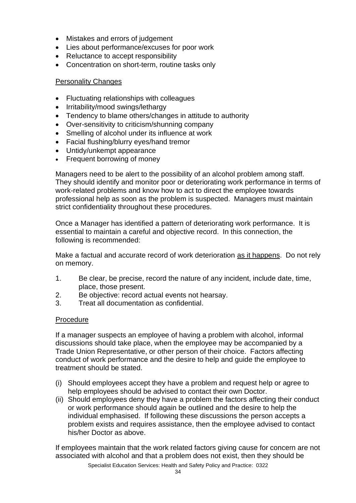- Mistakes and errors of judgement
- Lies about performance/excuses for poor work
- Reluctance to accept responsibility
- Concentration on short-term, routine tasks only

#### Personality Changes

- Fluctuating relationships with colleagues
- Irritability/mood swings/lethargy
- Tendency to blame others/changes in attitude to authority
- Over-sensitivity to criticism/shunning company
- Smelling of alcohol under its influence at work
- Facial flushing/blurry eyes/hand tremor
- Untidy/unkempt appearance
- Frequent borrowing of money

Managers need to be alert to the possibility of an alcohol problem among staff. They should identify and monitor poor or deteriorating work performance in terms of work-related problems and know how to act to direct the employee towards professional help as soon as the problem is suspected. Managers must maintain strict confidentiality throughout these procedures.

Once a Manager has identified a pattern of deteriorating work performance. It is essential to maintain a careful and objective record. In this connection, the following is recommended:

Make a factual and accurate record of work deterioration as it happens. Do not rely on memory.

- 1. Be clear, be precise, record the nature of any incident, include date, time, place, those present.
- 2. Be objective: record actual events not hearsay.
- 3. Treat all documentation as confidential.

#### Procedure

If a manager suspects an employee of having a problem with alcohol, informal discussions should take place, when the employee may be accompanied by a Trade Union Representative, or other person of their choice. Factors affecting conduct of work performance and the desire to help and guide the employee to treatment should be stated.

- (i) Should employees accept they have a problem and request help or agree to help employees should be advised to contact their own Doctor.
- (ii) Should employees deny they have a problem the factors affecting their conduct or work performance should again be outlined and the desire to help the individual emphasised. If following these discussions the person accepts a problem exists and requires assistance, then the employee advised to contact his/her Doctor as above.

If employees maintain that the work related factors giving cause for concern are not associated with alcohol and that a problem does not exist, then they should be

Specialist Education Services: Health and Safety Policy and Practice: 0322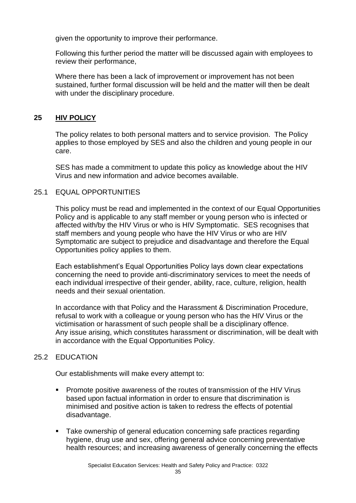given the opportunity to improve their performance.

Following this further period the matter will be discussed again with employees to review their performance,

Where there has been a lack of improvement or improvement has not been sustained, further formal discussion will be held and the matter will then be dealt with under the disciplinary procedure.

#### **25 HIV POLICY**

The policy relates to both personal matters and to service provision. The Policy applies to those employed by SES and also the children and young people in our care.

SES has made a commitment to update this policy as knowledge about the HIV Virus and new information and advice becomes available.

#### 25.1 EQUAL OPPORTUNITIES

This policy must be read and implemented in the context of our Equal Opportunities Policy and is applicable to any staff member or young person who is infected or affected with/by the HIV Virus or who is HIV Symptomatic. SES recognises that staff members and young people who have the HIV Virus or who are HIV Symptomatic are subject to prejudice and disadvantage and therefore the Equal Opportunities policy applies to them.

Each establishment's Equal Opportunities Policy lays down clear expectations concerning the need to provide anti-discriminatory services to meet the needs of each individual irrespective of their gender, ability, race, culture, religion, health needs and their sexual orientation.

In accordance with that Policy and the Harassment & Discrimination Procedure, refusal to work with a colleague or young person who has the HIV Virus or the victimisation or harassment of such people shall be a disciplinary offence. Any issue arising, which constitutes harassment or discrimination, will be dealt with in accordance with the Equal Opportunities Policy.

#### 25.2 EDUCATION

Our establishments will make every attempt to:

- Promote positive awareness of the routes of transmission of the HIV Virus based upon factual information in order to ensure that discrimination is minimised and positive action is taken to redress the effects of potential disadvantage.
- Take ownership of general education concerning safe practices regarding hygiene, drug use and sex, offering general advice concerning preventative health resources; and increasing awareness of generally concerning the effects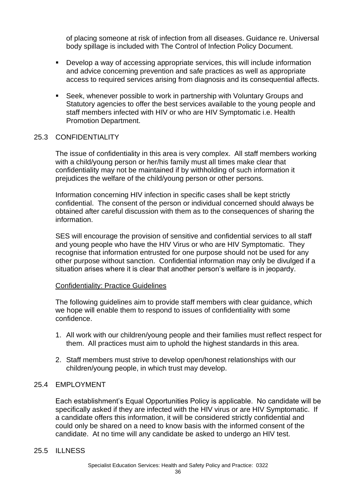of placing someone at risk of infection from all diseases. Guidance re. Universal body spillage is included with The Control of Infection Policy Document.

- Develop a way of accessing appropriate services, this will include information and advice concerning prevention and safe practices as well as appropriate access to required services arising from diagnosis and its consequential affects.
- Seek, whenever possible to work in partnership with Voluntary Groups and Statutory agencies to offer the best services available to the young people and staff members infected with HIV or who are HIV Symptomatic i.e. Health Promotion Department.

#### 25.3 CONFIDENTIALITY

The issue of confidentiality in this area is very complex. All staff members working with a child/young person or her/his family must all times make clear that confidentiality may not be maintained if by withholding of such information it prejudices the welfare of the child/young person or other persons.

Information concerning HIV infection in specific cases shall be kept strictly confidential. The consent of the person or individual concerned should always be obtained after careful discussion with them as to the consequences of sharing the information.

SES will encourage the provision of sensitive and confidential services to all staff and young people who have the HIV Virus or who are HIV Symptomatic. They recognise that information entrusted for one purpose should not be used for any other purpose without sanction. Confidential information may only be divulged if a situation arises where it is clear that another person's welfare is in jeopardy.

#### Confidentiality: Practice Guidelines

The following guidelines aim to provide staff members with clear guidance, which we hope will enable them to respond to issues of confidentiality with some confidence.

- 1. All work with our children/young people and their families must reflect respect for them. All practices must aim to uphold the highest standards in this area.
- 2. Staff members must strive to develop open/honest relationships with our children/young people, in which trust may develop.

#### 25.4 EMPLOYMENT

Each establishment's Equal Opportunities Policy is applicable. No candidate will be specifically asked if they are infected with the HIV virus or are HIV Symptomatic. If a candidate offers this information, it will be considered strictly confidential and could only be shared on a need to know basis with the informed consent of the candidate. At no time will any candidate be asked to undergo an HIV test.

#### 25.5 ILLNESS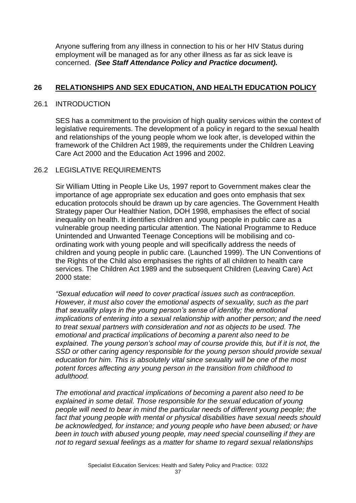Anyone suffering from any illness in connection to his or her HIV Status during employment will be managed as for any other illness as far as sick leave is concerned. *(See Staff Attendance Policy and Practice document).*

#### **26 RELATIONSHIPS AND SEX EDUCATION, AND HEALTH EDUCATION POLICY**

#### 26.1 INTRODUCTION

SES has a commitment to the provision of high quality services within the context of legislative requirements. The development of a policy in regard to the sexual health and relationships of the young people whom we look after, is developed within the framework of the Children Act 1989, the requirements under the Children Leaving Care Act 2000 and the Education Act 1996 and 2002.

#### 26.2 LEGISLATIVE REQUIREMENTS

Sir William Utting in People Like Us, 1997 report to Government makes clear the importance of age appropriate sex education and goes onto emphasis that sex education protocols should be drawn up by care agencies. The Government Health Strategy paper Our Healthier Nation, DOH 1998, emphasises the effect of social inequality on health. It identifies children and young people in public care as a vulnerable group needing particular attention. The National Programme to Reduce Unintended and Unwanted Teenage Conceptions will be mobilising and coordinating work with young people and will specifically address the needs of children and young people in public care. (Launched 1999). The UN Conventions of the Rights of the Child also emphasises the rights of all children to health care services. The Children Act 1989 and the subsequent Children (Leaving Care) Act 2000 state:

*"Sexual education will need to cover practical issues such as contraception. However, it must also cover the emotional aspects of sexuality, such as the part that sexuality plays in the young person's sense of identity; the emotional implications of entering into a sexual relationship with another person; and the need to treat sexual partners with consideration and not as objects to be used. The emotional and practical implications of becoming a parent also need to be*  explained. The young person's school may of course provide this, but if it is not, the *SSD or other caring agency responsible for the young person should provide sexual education for him. This is absolutely vital since sexuality will be one of the most potent forces affecting any young person in the transition from childhood to adulthood.*

*The emotional and practical implications of becoming a parent also need to be explained in some detail. Those responsible for the sexual education of young people will need to bear in mind the particular needs of different young people; the*  fact that young people with mental or physical disabilities have sexual needs should *be acknowledged, for instance; and young people who have been abused; or have been in touch with abused young people, may need special counselling if they are not to regard sexual feelings as a matter for shame to regard sexual relationships*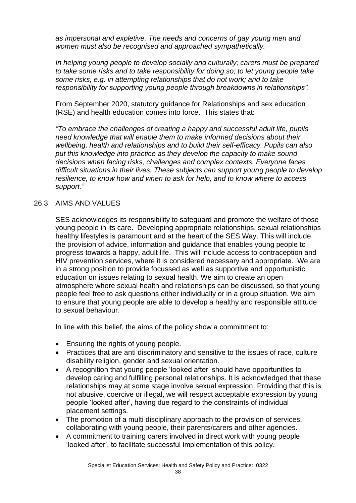*as impersonal and expletive. The needs and concerns of gay young men and women must also be recognised and approached sympathetically.*

*In helping young people to develop socially and culturally; carers must be prepared to take some risks and to take responsibility for doing so; to let young people take some risks, e.g. in attempting relationships that do not work; and to take responsibility for supporting young people through breakdowns in relationships".*

From September 2020, statutory guidance for Relationships and sex education (RSE) and health education comes into force. This states that:

*"To embrace the challenges of creating a happy and successful adult life, pupils need knowledge that will enable them to make informed decisions about their wellbeing, health and relationships and to build their self-efficacy. Pupils can also put this knowledge into practice as they develop the capacity to make sound decisions when facing risks, challenges and complex contexts. Everyone faces difficult situations in their lives. These subjects can support young people to develop resilience, to know how and when to ask for help, and to know where to access support."*

#### 26.3 AIMS AND VALUES

SES acknowledges its responsibility to safeguard and promote the welfare of those young people in its care. Developing appropriate relationships, sexual relationships healthy lifestyles is paramount and at the heart of the SES Way. This will include the provision of advice, information and guidance that enables young people to progress towards a happy, adult life. This will include access to contraception and HIV prevention services, where it is considered necessary and appropriate. We are in a strong position to provide focussed as well as supportive and opportunistic education on issues relating to sexual health. We aim to create an open atmosphere where sexual health and relationships can be discussed, so that young people feel free to ask questions either individually or in a group situation. We aim to ensure that young people are able to develop a healthy and responsible attitude to sexual behaviour.

In line with this belief, the aims of the policy show a commitment to:

- Ensuring the rights of young people.
- Practices that are anti discriminatory and sensitive to the issues of race, culture disability religion, gender and sexual orientation.
- A recognition that young people 'looked after' should have opportunities to develop caring and fulfilling personal relationships. It is acknowledged that these relationships may at some stage involve sexual expression. Providing that this is not abusive, coercive or illegal, we will respect acceptable expression by young people 'looked after', having due regard to the constraints of individual placement settings.
- The promotion of a multi disciplinary approach to the provision of services, collaborating with young people, their parents/carers and other agencies.
- A commitment to training carers involved in direct work with young people 'looked after', to facilitate successful implementation of this policy.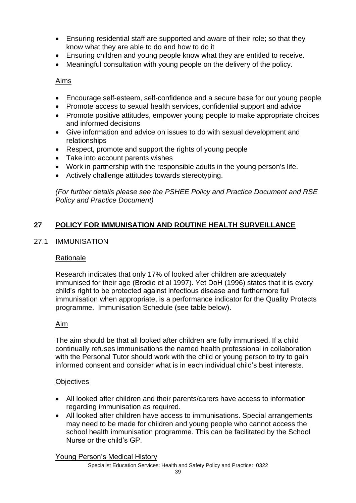- Ensuring residential staff are supported and aware of their role; so that they know what they are able to do and how to do it
- Ensuring children and young people know what they are entitled to receive.
- Meaningful consultation with young people on the delivery of the policy.

#### Aims

- Encourage self-esteem, self-confidence and a secure base for our young people
- Promote access to sexual health services, confidential support and advice
- Promote positive attitudes, empower young people to make appropriate choices and informed decisions
- Give information and advice on issues to do with sexual development and relationships
- Respect, promote and support the rights of young people
- Take into account parents wishes
- Work in partnership with the responsible adults in the young person's life.
- Actively challenge attitudes towards stereotyping.

*(For further details please see the PSHEE Policy and Practice Document and RSE Policy and Practice Document)*

#### **27 POLICY FOR IMMUNISATION AND ROUTINE HEALTH SURVEILLANCE**

#### 27.1 IMMUNISATION

#### Rationale

Research indicates that only 17% of looked after children are adequately immunised for their age (Brodie et al 1997). Yet DoH (1996) states that it is every child's right to be protected against infectious disease and furthermore full immunisation when appropriate, is a performance indicator for the Quality Protects programme. Immunisation Schedule (see table below).

#### Aim

The aim should be that all looked after children are fully immunised. If a child continually refuses immunisations the named health professional in collaboration with the Personal Tutor should work with the child or young person to try to gain informed consent and consider what is in each individual child's best interests.

#### **Objectives**

- All looked after children and their parents/carers have access to information regarding immunisation as required.
- All looked after children have access to immunisations. Special arrangements may need to be made for children and young people who cannot access the school health immunisation programme. This can be facilitated by the School Nurse or the child's GP.

Young Person's Medical History

Specialist Education Services: Health and Safety Policy and Practice: 0322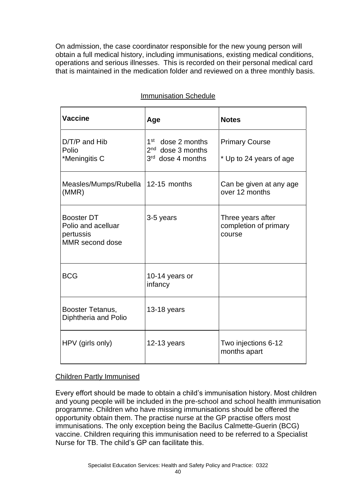On admission, the case coordinator responsible for the new young person will obtain a full medical history, including immunisations, existing medical conditions, operations and serious illnesses. This is recorded on their personal medical card that is maintained in the medication folder and reviewed on a three monthly basis.

| <b>Vaccine</b>                                                          | Age                                                                          | <b>Notes</b>                                         |
|-------------------------------------------------------------------------|------------------------------------------------------------------------------|------------------------------------------------------|
| $D/T/P$ and $Hib$<br>Polio<br>*Meningitis C                             | 1 <sup>st</sup><br>dose 2 months<br>$2nd$ dose 3 months<br>3rd dose 4 months | <b>Primary Course</b><br>* Up to 24 years of age     |
| Measles/Mumps/Rubella<br>(MMR)                                          | 12-15 months                                                                 | Can be given at any age<br>over 12 months            |
| <b>Booster DT</b><br>Polio and acelluar<br>pertussis<br>MMR second dose | 3-5 years                                                                    | Three years after<br>completion of primary<br>course |
| <b>BCG</b>                                                              | 10-14 years or<br>infancy                                                    |                                                      |
| Booster Tetanus,<br>Diphtheria and Polio                                | $13-18$ years                                                                |                                                      |
| HPV (girls only)                                                        | $12-13$ years                                                                | Two injections 6-12<br>months apart                  |

#### Immunisation Schedule

#### Children Partly Immunised

Every effort should be made to obtain a child's immunisation history. Most children and young people will be included in the pre-school and school health immunisation programme. Children who have missing immunisations should be offered the opportunity obtain them. The practise nurse at the GP practise offers most immunisations. The only exception being the Bacilus Calmette-Guerin (BCG) vaccine. Children requiring this immunisation need to be referred to a Specialist Nurse for TB. The child's GP can facilitate this.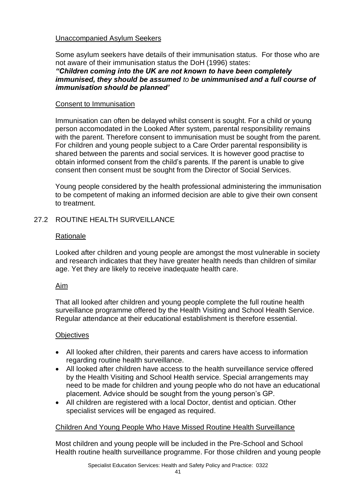#### Unaccompanied Asylum Seekers

Some asylum seekers have details of their immunisation status. For those who are not aware of their immunisation status the DoH (1996) states:

#### *"Children coming into the UK are not known to have been completely immunised, they should be assumed to be unimmunised and a full course of immunisation should be planned'*

#### Consent to Immunisation

Immunisation can often be delayed whilst consent is sought. For a child or young person accomodated in the Looked After system, parental responsibility remains with the parent. Therefore consent to immunisation must be sought from the parent. For children and young people subject to a Care Order parental responsibility is shared between the parents and social services. It is however good practise to obtain informed consent from the child's parents. If the parent is unable to give consent then consent must be sought from the Director of Social Services.

Young people considered by the health professional administering the immunisation to be competent of making an informed decision are able to give their own consent to treatment.

#### 27.2 ROUTINE HEALTH SURVEILLANCE

#### Rationale

Looked after children and young people are amongst the most vulnerable in society and research indicates that they have greater health needs than children of similar age. Yet they are likely to receive inadequate health care.

#### Aim

That all looked after children and young people complete the full routine health surveillance programme offered by the Health Visiting and School Health Service. Regular attendance at their educational establishment is therefore essential.

#### **Objectives**

- All looked after children, their parents and carers have access to information regarding routine health surveillance.
- All looked after children have access to the health surveillance service offered by the Health Visiting and School Health service. Special arrangements may need to be made for children and young people who do not have an educational placement. Advice should be sought from the young person's GP.
- All children are registered with a local Doctor, dentist and optician. Other specialist services will be engaged as required.

#### Children And Young People Who Have Missed Routine Health Surveillance

Most children and young people will be included in the Pre-School and School Health routine health surveillance programme. For those children and young people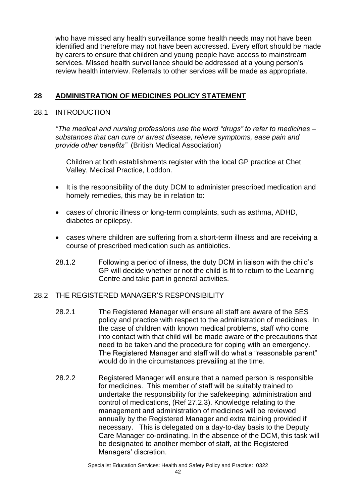who have missed any health surveillance some health needs may not have been identified and therefore may not have been addressed. Every effort should be made by carers to ensure that children and young people have access to mainstream services. Missed health surveillance should be addressed at a young person's review health interview. Referrals to other services will be made as appropriate.

#### **28 ADMINISTRATION OF MEDICINES POLICY STATEMENT**

#### 28.1 INTRODUCTION

*"The medical and nursing professions use the word "drugs" to refer to medicines – substances that can cure or arrest disease, relieve symptoms, ease pain and provide other benefits"* (British Medical Association)

Children at both establishments register with the local GP practice at Chet Valley, Medical Practice, Loddon.

- It is the responsibility of the duty DCM to administer prescribed medication and homely remedies, this may be in relation to:
- cases of chronic illness or long-term complaints, such as asthma, ADHD, diabetes or epilepsy.
- cases where children are suffering from a short-term illness and are receiving a course of prescribed medication such as antibiotics.
- 28.1.2 Following a period of illness, the duty DCM in liaison with the child's GP will decide whether or not the child is fit to return to the Learning Centre and take part in general activities.

#### 28.2 THE REGISTERED MANAGER'S RESPONSIBILITY

- 28.2.1 The Registered Manager will ensure all staff are aware of the SES policy and practice with respect to the administration of medicines. In the case of children with known medical problems, staff who come into contact with that child will be made aware of the precautions that need to be taken and the procedure for coping with an emergency. The Registered Manager and staff will do what a "reasonable parent" would do in the circumstances prevailing at the time.
- 28.2.2 Registered Manager will ensure that a named person is responsible for medicines. This member of staff will be suitably trained to undertake the responsibility for the safekeeping, administration and control of medications, (Ref 27.2.3). Knowledge relating to the management and administration of medicines will be reviewed annually by the Registered Manager and extra training provided if necessary. This is delegated on a day-to-day basis to the Deputy Care Manager co-ordinating. In the absence of the DCM, this task will be designated to another member of staff, at the Registered Managers' discretion.

Specialist Education Services: Health and Safety Policy and Practice: 0322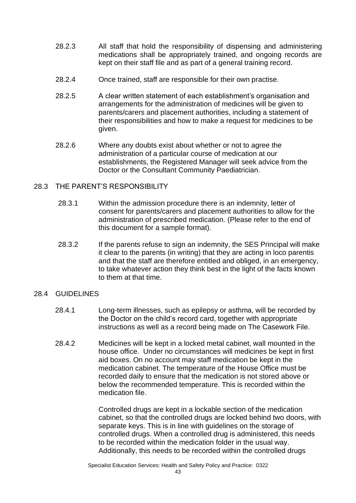- 28.2.3 All staff that hold the responsibility of dispensing and administering medications shall be appropriately trained, and ongoing records are kept on their staff file and as part of a general training record.
- 28.2.4 Once trained, staff are responsible for their own practise.
- 28.2.5 A clear written statement of each establishment's organisation and arrangements for the administration of medicines will be given to parents/carers and placement authorities, including a statement of their responsibilities and how to make a request for medicines to be given.
- 28.2.6 Where any doubts exist about whether or not to agree the administration of a particular course of medication at our establishments, the Registered Manager will seek advice from the Doctor or the Consultant Community Paediatrician.

#### 28.3 THE PARENT'S RESPONSIBILITY

- 28.3.1 Within the admission procedure there is an indemnity, letter of consent for parents/carers and placement authorities to allow for the administration of prescribed medication. (Please refer to the end of this document for a sample format).
- 28.3.2 If the parents refuse to sign an indemnity, the SES Principal will make it clear to the parents (in writing) that they are acting in loco parentis and that the staff are therefore entitled and obliged, in an emergency, to take whatever action they think best in the light of the facts known to them at that time.

#### 28.4 GUIDELINES

- 28.4.1 Long-term illnesses, such as epilepsy or asthma, will be recorded by the Doctor on the child's record card, together with appropriate instructions as well as a record being made on The Casework File.
- 28.4.2 Medicines will be kept in a locked metal cabinet, wall mounted in the house office. Under no circumstances will medicines be kept in first aid boxes. On no account may staff medication be kept in the medication cabinet. The temperature of the House Office must be recorded daily to ensure that the medication is not stored above or below the recommended temperature. This is recorded within the medication file.

Controlled drugs are kept in a lockable section of the medication cabinet, so that the controlled drugs are locked behind two doors, with separate keys. This is in line with guidelines on the storage of controlled drugs. When a controlled drug is administered, this needs to be recorded within the medication folder in the usual way. Additionally, this needs to be recorded within the controlled drugs

Specialist Education Services: Health and Safety Policy and Practice: 0322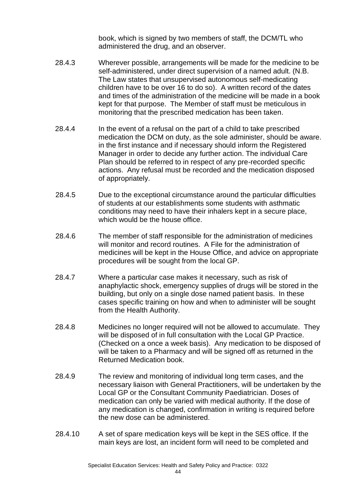book, which is signed by two members of staff, the DCM/TL who administered the drug, and an observer.

- 28.4.3 Wherever possible, arrangements will be made for the medicine to be self-administered, under direct supervision of a named adult. (N.B. The Law states that unsupervised autonomous self-medicating children have to be over 16 to do so). A written record of the dates and times of the administration of the medicine will be made in a book kept for that purpose. The Member of staff must be meticulous in monitoring that the prescribed medication has been taken.
- 28.4.4 In the event of a refusal on the part of a child to take prescribed medication the DCM on duty, as the sole administer, should be aware. in the first instance and if necessary should inform the Registered Manager in order to decide any further action. The individual Care Plan should be referred to in respect of any pre-recorded specific actions. Any refusal must be recorded and the medication disposed of appropriately.
- 28.4.5 Due to the exceptional circumstance around the particular difficulties of students at our establishments some students with asthmatic conditions may need to have their inhalers kept in a secure place, which would be the house office.
- 28.4.6 The member of staff responsible for the administration of medicines will monitor and record routines. A File for the administration of medicines will be kept in the House Office, and advice on appropriate procedures will be sought from the local GP.
- 28.4.7 Where a particular case makes it necessary, such as risk of anaphylactic shock, emergency supplies of drugs will be stored in the building, but only on a single dose named patient basis. In these cases specific training on how and when to administer will be sought from the Health Authority.
- 28.4.8 Medicines no longer required will not be allowed to accumulate. They will be disposed of in full consultation with the Local GP Practice. (Checked on a once a week basis). Any medication to be disposed of will be taken to a Pharmacy and will be signed off as returned in the Returned Medication book.
- 28.4.9 The review and monitoring of individual long term cases, and the necessary liaison with General Practitioners, will be undertaken by the Local GP or the Consultant Community Paediatrician. Doses of medication can only be varied with medical authority. If the dose of any medication is changed, confirmation in writing is required before the new dose can be administered.
- 28.4.10 A set of spare medication keys will be kept in the SES office. If the main keys are lost, an incident form will need to be completed and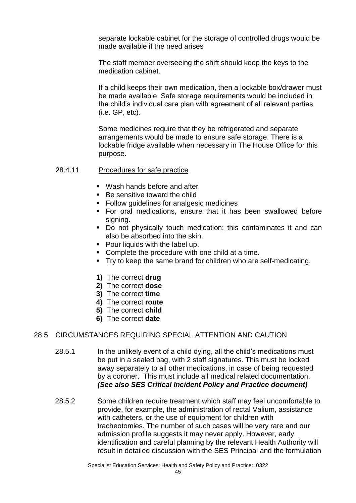separate lockable cabinet for the storage of controlled drugs would be made available if the need arises

The staff member overseeing the shift should keep the keys to the medication cabinet.

If a child keeps their own medication, then a lockable box/drawer must be made available. Safe storage requirements would be included in the child's individual care plan with agreement of all relevant parties (i.e. GP, etc).

Some medicines require that they be refrigerated and separate arrangements would be made to ensure safe storage. There is a lockable fridge available when necessary in The House Office for this purpose.

#### 28.4.11 Procedures for safe practice

- Wash hands before and after
- Be sensitive toward the child
- Follow guidelines for analgesic medicines
- For oral medications, ensure that it has been swallowed before signing.
- Do not physically touch medication; this contaminates it and can also be absorbed into the skin.
- Pour liquids with the label up.
- Complete the procedure with one child at a time.
- Try to keep the same brand for children who are self-medicating.
- **1)** The correct **drug**
- **2)** The correct **dose**
- **3)** The correct **time**
- **4)** The correct **route**
- **5)** The correct **child**
- **6)** The correct **date**

#### 28.5 CIRCUMSTANCES REQUIRING SPECIAL ATTENTION AND CAUTION

- 28.5.1 In the unlikely event of a child dying, all the child's medications must be put in a sealed bag, with 2 staff signatures. This must be locked away separately to all other medications, in case of being requested by a coroner. This must include all medical related documentation. *(See also SES Critical Incident Policy and Practice document)*
- 28.5.2 Some children require treatment which staff may feel uncomfortable to provide, for example, the administration of rectal Valium, assistance with catheters, or the use of equipment for children with tracheotomies. The number of such cases will be very rare and our admission profile suggests it may never apply. However, early identification and careful planning by the relevant Health Authority will result in detailed discussion with the SES Principal and the formulation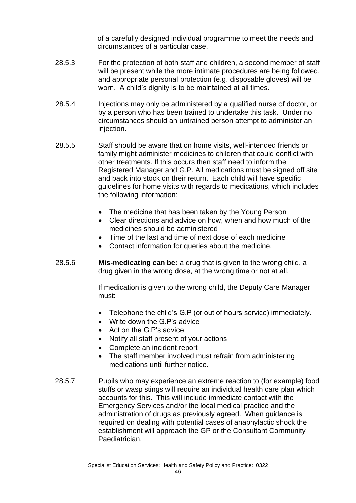of a carefully designed individual programme to meet the needs and circumstances of a particular case.

- 28.5.3 For the protection of both staff and children, a second member of staff will be present while the more intimate procedures are being followed, and appropriate personal protection (e.g. disposable gloves) will be worn. A child's dignity is to be maintained at all times.
- 28.5.4 Injections may only be administered by a qualified nurse of doctor, or by a person who has been trained to undertake this task. Under no circumstances should an untrained person attempt to administer an injection.
- 28.5.5 Staff should be aware that on home visits, well-intended friends or family might administer medicines to children that could conflict with other treatments. If this occurs then staff need to inform the Registered Manager and G.P. All medications must be signed off site and back into stock on their return. Each child will have specific guidelines for home visits with regards to medications, which includes the following information:
	- The medicine that has been taken by the Young Person
	- Clear directions and advice on how, when and how much of the medicines should be administered
	- Time of the last and time of next dose of each medicine
	- Contact information for queries about the medicine.
- 28.5.6 **Mis-medicating can be:** a drug that is given to the wrong child, a drug given in the wrong dose, at the wrong time or not at all.

If medication is given to the wrong child, the Deputy Care Manager must:

- Telephone the child's G.P (or out of hours service) immediately.
- Write down the G.P's advice
- Act on the G.P's advice
- Notify all staff present of your actions
- Complete an incident report
- The staff member involved must refrain from administering medications until further notice.
- 28.5.7 Pupils who may experience an extreme reaction to (for example) food stuffs or wasp stings will require an individual health care plan which accounts for this. This will include immediate contact with the Emergency Services and/or the local medical practice and the administration of drugs as previously agreed. When guidance is required on dealing with potential cases of anaphylactic shock the establishment will approach the GP or the Consultant Community Paediatrician.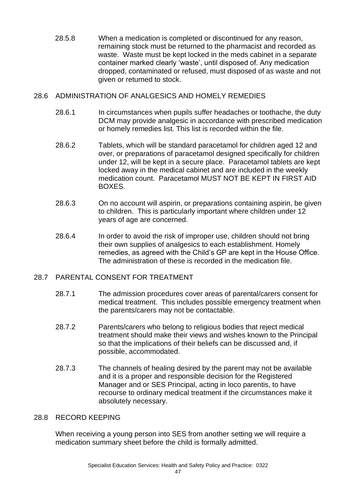28.5.8 When a medication is completed or discontinued for any reason, remaining stock must be returned to the pharmacist and recorded as waste. Waste must be kept locked in the meds cabinet in a separate container marked clearly 'waste', until disposed of. Any medication dropped, contaminated or refused, must disposed of as waste and not given or returned to stock.

#### 28.6 ADMINISTRATION OF ANALGESICS AND HOMELY REMEDIES

- 28.6.1 In circumstances when pupils suffer headaches or toothache, the duty DCM may provide analgesic in accordance with prescribed medication or homely remedies list. This list is recorded within the file.
- 28.6.2 Tablets, which will be standard paracetamol for children aged 12 and over, or preparations of paracetamol designed specifically for children under 12, will be kept in a secure place. Paracetamol tablets are kept locked away in the medical cabinet and are included in the weekly medication count. Paracetamol MUST NOT BE KEPT IN FIRST AID BOXES.
- 28.6.3 On no account will aspirin, or preparations containing aspirin, be given to children. This is particularly important where children under 12 years of age are concerned.
- 28.6.4 In order to avoid the risk of improper use, children should not bring their own supplies of analgesics to each establishment. Homely remedies, as agreed with the Child's GP are kept in the House Office. The administration of these is recorded in the medication file.

#### 28.7 PARENTAL CONSENT FOR TREATMENT

- 28.7.1 The admission procedures cover areas of parental/carers consent for medical treatment. This includes possible emergency treatment when the parents/carers may not be contactable.
- 28.7.2 Parents/carers who belong to religious bodies that reject medical treatment should make their views and wishes known to the Principal so that the implications of their beliefs can be discussed and, if possible, accommodated.
- 28.7.3 The channels of healing desired by the parent may not be available and it is a proper and responsible decision for the Registered Manager and or SES Principal, acting in loco parentis, to have recourse to ordinary medical treatment if the circumstances make it absolutely necessary.

#### 28.8 RECORD KEEPING

When receiving a young person into SES from another setting we will require a medication summary sheet before the child is formally admitted.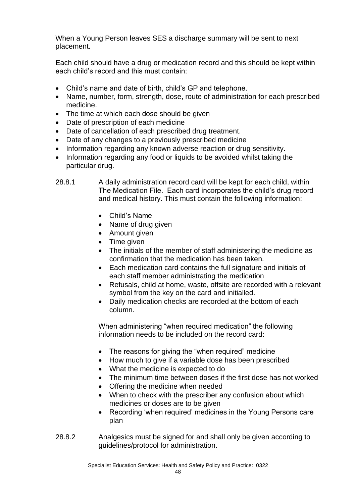When a Young Person leaves SES a discharge summary will be sent to next placement.

Each child should have a drug or medication record and this should be kept within each child's record and this must contain:

- Child's name and date of birth, child's GP and telephone.
- Name, number, form, strength, dose, route of administration for each prescribed medicine.
- The time at which each dose should be given
- Date of prescription of each medicine
- Date of cancellation of each prescribed drug treatment.
- Date of any changes to a previously prescribed medicine
- Information regarding any known adverse reaction or drug sensitivity.
- Information regarding any food or liquids to be avoided whilst taking the particular drug.
- 28.8.1 A daily administration record card will be kept for each child, within The Medication File. Each card incorporates the child's drug record and medical history. This must contain the following information:
	- Child's Name
	- Name of drug given
	- Amount given
	- Time given
	- The initials of the member of staff administering the medicine as confirmation that the medication has been taken.
	- Each medication card contains the full signature and initials of each staff member administrating the medication
	- Refusals, child at home, waste, offsite are recorded with a relevant symbol from the key on the card and initialled.
	- Daily medication checks are recorded at the bottom of each column.

When administering "when required medication" the following information needs to be included on the record card:

- The reasons for giving the "when required" medicine
- How much to give if a variable dose has been prescribed
- What the medicine is expected to do
- The minimum time between doses if the first dose has not worked
- Offering the medicine when needed
- When to check with the prescriber any confusion about which medicines or doses are to be given
- Recording 'when required' medicines in the Young Persons care plan
- 28.8.2 Analgesics must be signed for and shall only be given according to guidelines/protocol for administration.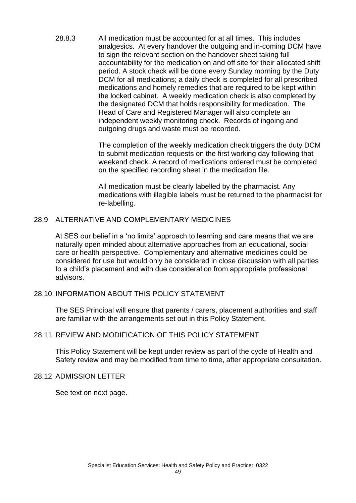28.8.3 All medication must be accounted for at all times. This includes analgesics. At every handover the outgoing and in-coming DCM have to sign the relevant section on the handover sheet taking full accountability for the medication on and off site for their allocated shift period. A stock check will be done every Sunday morning by the Duty DCM for all medications; a daily check is completed for all prescribed medications and homely remedies that are required to be kept within the locked cabinet. A weekly medication check is also completed by the designated DCM that holds responsibility for medication. The Head of Care and Registered Manager will also complete an independent weekly monitoring check. Records of ingoing and outgoing drugs and waste must be recorded.

> The completion of the weekly medication check triggers the duty DCM to submit medication requests on the first working day following that weekend check. A record of medications ordered must be completed on the specified recording sheet in the medication file.

> All medication must be clearly labelled by the pharmacist. Any medications with illegible labels must be returned to the pharmacist for re-labelling.

#### 28.9 ALTERNATIVE AND COMPLEMENTARY MEDICINES

At SES our belief in a 'no limits' approach to learning and care means that we are naturally open minded about alternative approaches from an educational, social care or health perspective. Complementary and alternative medicines could be considered for use but would only be considered in close discussion with all parties to a child's placement and with due consideration from appropriate professional advisors.

#### 28.10. INFORMATION ABOUT THIS POLICY STATEMENT

The SES Principal will ensure that parents / carers, placement authorities and staff are familiar with the arrangements set out in this Policy Statement.

#### 28.11 REVIEW AND MODIFICATION OF THIS POLICY STATEMENT

This Policy Statement will be kept under review as part of the cycle of Health and Safety review and may be modified from time to time, after appropriate consultation.

#### 28.12 ADMISSION LETTER

See text on next page.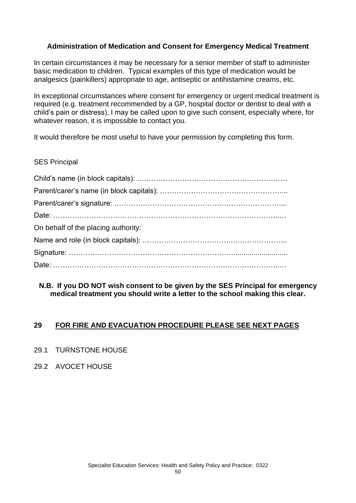#### **Administration of Medication and Consent for Emergency Medical Treatment**

In certain circumstances it may be necessary for a senior member of staff to administer basic medication to children. Typical examples of this type of medication would be analgesics (painkillers) appropriate to age, antiseptic or antihistamine creams, etc.

In exceptional circumstances where consent for emergency or urgent medical treatment is required (e.g. treatment recommended by a GP, hospital doctor or dentist to deal with a child's pain or distress), I may be called upon to give such consent, especially where, for whatever reason, it is impossible to contact you.

It would therefore be most useful to have your permission by completing this form.

#### SES Principal

| On behalf of the placing authority: |
|-------------------------------------|
|                                     |
|                                     |
|                                     |

#### **N.B. If you DO NOT wish consent to be given by the SES Principal for emergency medical treatment you should write a letter to the school making this clear.**

#### **29 FOR FIRE AND EVACUATION PROCEDURE PLEASE SEE NEXT PAGES**

- 29.1 TURNSTONE HOUSE
- 29.2 AVOCET HOUSE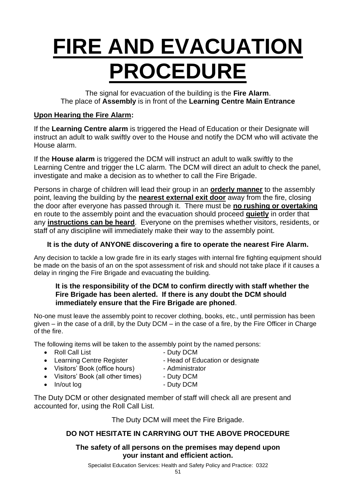## **FIRE AND EVACUATION PROCEDURE**

The signal for evacuation of the building is the **Fire Alarm**. The place of **Assembly** is in front of the **Learning Centre Main Entrance**

#### **Upon Hearing the Fire Alarm:**

If the **Learning Centre alarm** is triggered the Head of Education or their Designate will instruct an adult to walk swiftly over to the House and notify the DCM who will activate the House alarm.

If the **House alarm** is triggered the DCM will instruct an adult to walk swiftly to the Learning Centre and trigger the LC alarm. The DCM will direct an adult to check the panel, investigate and make a decision as to whether to call the Fire Brigade.

Persons in charge of children will lead their group in an **orderly manner** to the assembly point, leaving the building by the **nearest external exit door** away from the fire, closing the door after everyone has passed through it. There must be **no rushing or overtaking** en route to the assembly point and the evacuation should proceed **quietly** in order that any **instructions can be heard**. Everyone on the premises whether visitors, residents, or staff of any discipline will immediately make their way to the assembly point.

#### **It is the duty of ANYONE discovering a fire to operate the nearest Fire Alarm.**

Any decision to tackle a low grade fire in its early stages with internal fire fighting equipment should be made on the basis of an on the spot assessment of risk and should not take place if it causes a delay in ringing the Fire Brigade and evacuating the building.

#### **It is the responsibility of the DCM to confirm directly with staff whether the Fire Brigade has been alerted. If there is any doubt the DCM should immediately ensure that the Fire Brigade are phoned**.

No-one must leave the assembly point to recover clothing, books, etc., until permission has been given – in the case of a drill, by the Duty DCM – in the case of a fire, by the Fire Officer in Charge of the fire.

The following items will be taken to the assembly point by the named persons:

- Roll Call List Duty DCM
- Learning Centre Register Head of Education or designate
	-
- Visitors' Book (office hours) Administrator
	-
- Visitors' Book (all other times) Duty DCM • In/out log extending the Duty DCM
	-

The Duty DCM or other designated member of staff will check all are present and accounted for, using the Roll Call List.

The Duty DCM will meet the Fire Brigade.

#### **DO NOT HESITATE IN CARRYING OUT THE ABOVE PROCEDURE**

#### **The safety of all persons on the premises may depend upon your instant and efficient action.**

Specialist Education Services: Health and Safety Policy and Practice: 0322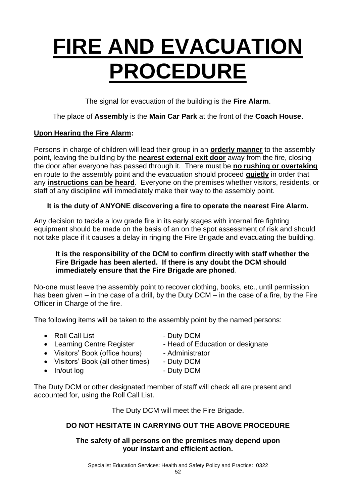## **FIRE AND EVACUATION PROCEDURE**

The signal for evacuation of the building is the **Fire Alarm**.

#### The place of **Assembly** is the **Main Car Park** at the front of the **Coach House**.

#### **Upon Hearing the Fire Alarm:**

Persons in charge of children will lead their group in an **orderly manner** to the assembly point, leaving the building by the **nearest external exit door** away from the fire, closing the door after everyone has passed through it. There must be **no rushing or overtaking** en route to the assembly point and the evacuation should proceed **quietly** in order that any **instructions can be heard**. Everyone on the premises whether visitors, residents, or staff of any discipline will immediately make their way to the assembly point.

#### **It is the duty of ANYONE discovering a fire to operate the nearest Fire Alarm.**

Any decision to tackle a low grade fire in its early stages with internal fire fighting equipment should be made on the basis of an on the spot assessment of risk and should not take place if it causes a delay in ringing the Fire Brigade and evacuating the building.

#### **It is the responsibility of the DCM to confirm directly with staff whether the Fire Brigade has been alerted. If there is any doubt the DCM should immediately ensure that the Fire Brigade are phoned**.

No-one must leave the assembly point to recover clothing, books, etc., until permission has been given – in the case of a drill, by the Duty DCM – in the case of a fire, by the Fire Officer in Charge of the fire.

The following items will be taken to the assembly point by the named persons:

- Roll Call List Duty DCM
	-
- Learning Centre Register Head of Education or designate
- Visitors' Book (office hours) Administrator
	-
- Visitors' Book (all other times) Duty DCM
	-
- In/out log contract the Duty DCM

The Duty DCM or other designated member of staff will check all are present and accounted for, using the Roll Call List.

The Duty DCM will meet the Fire Brigade.

#### **DO NOT HESITATE IN CARRYING OUT THE ABOVE PROCEDURE**

#### **The safety of all persons on the premises may depend upon your instant and efficient action.**